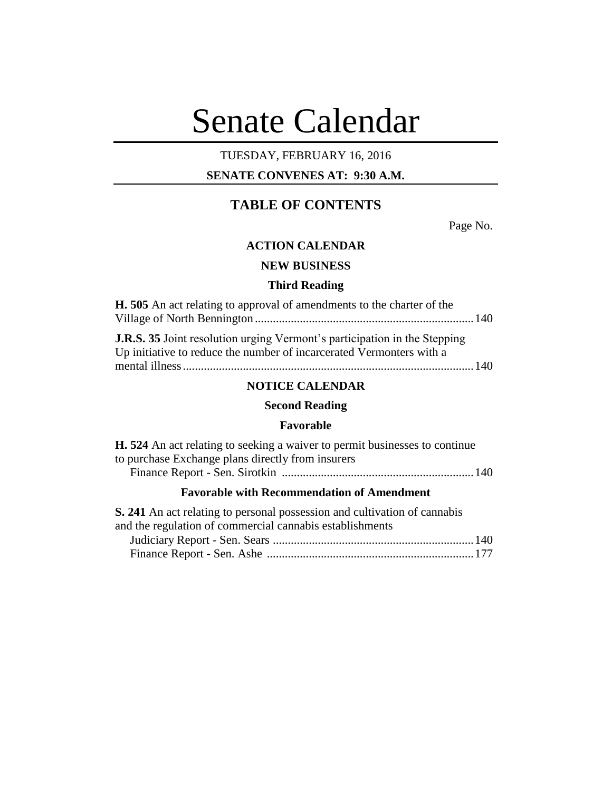# Senate Calendar

# TUESDAY, FEBRUARY 16, 2016

# **SENATE CONVENES AT: 9:30 A.M.**

# **TABLE OF CONTENTS**

Page No.

# **ACTION CALENDAR**

# **NEW BUSINESS**

#### **Third Reading**

| <b>H.</b> 505 An act relating to approval of amendments to the charter of the                                                                            |  |
|----------------------------------------------------------------------------------------------------------------------------------------------------------|--|
|                                                                                                                                                          |  |
| <b>J.R.S. 35</b> Joint resolution urging Vermont's participation in the Stepping<br>Up initiative to reduce the number of incarcerated Vermonters with a |  |
|                                                                                                                                                          |  |
|                                                                                                                                                          |  |

# **NOTICE CALENDAR**

# **Second Reading**

## **Favorable**

| <b>H.</b> 524 An act relating to seeking a waiver to permit businesses to continue |  |
|------------------------------------------------------------------------------------|--|
| to purchase Exchange plans directly from insurers                                  |  |
|                                                                                    |  |

# **Favorable with Recommendation of Amendment**

| S. 241 An act relating to personal possession and cultivation of cannabis |  |
|---------------------------------------------------------------------------|--|
| and the regulation of commercial cannabis establishments                  |  |
|                                                                           |  |
|                                                                           |  |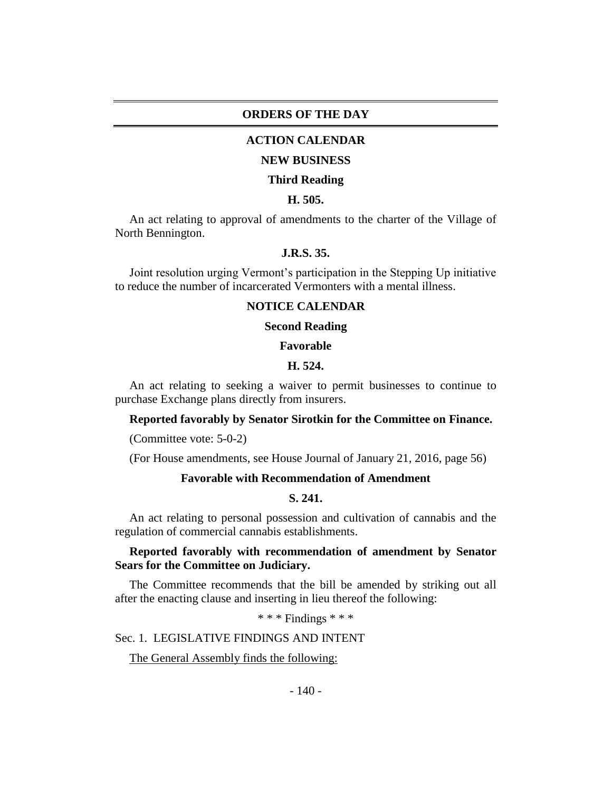## **ORDERS OF THE DAY**

## **ACTION CALENDAR**

#### **NEW BUSINESS**

#### **Third Reading**

## **H. 505.**

An act relating to approval of amendments to the charter of the Village of North Bennington.

# **J.R.S. 35.**

Joint resolution urging Vermont's participation in the Stepping Up initiative to reduce the number of incarcerated Vermonters with a mental illness.

#### **NOTICE CALENDAR**

#### **Second Reading**

#### **Favorable**

## **H. 524.**

An act relating to seeking a waiver to permit businesses to continue to purchase Exchange plans directly from insurers.

#### **Reported favorably by Senator Sirotkin for the Committee on Finance.**

(Committee vote: 5-0-2)

(For House amendments, see House Journal of January 21, 2016, page 56)

# **Favorable with Recommendation of Amendment**

#### **S. 241.**

An act relating to personal possession and cultivation of cannabis and the regulation of commercial cannabis establishments.

## **Reported favorably with recommendation of amendment by Senator Sears for the Committee on Judiciary.**

The Committee recommends that the bill be amended by striking out all after the enacting clause and inserting in lieu thereof the following:

\* \* \* Findings \* \* \*

Sec. 1. LEGISLATIVE FINDINGS AND INTENT

#### The General Assembly finds the following: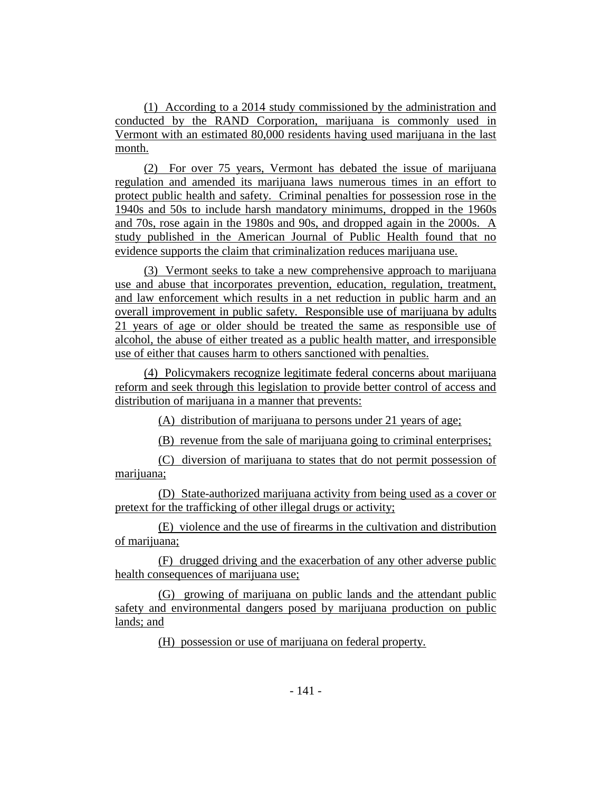(1) According to a 2014 study commissioned by the administration and conducted by the RAND Corporation, marijuana is commonly used in Vermont with an estimated 80,000 residents having used marijuana in the last month.

(2) For over 75 years, Vermont has debated the issue of marijuana regulation and amended its marijuana laws numerous times in an effort to protect public health and safety. Criminal penalties for possession rose in the 1940s and 50s to include harsh mandatory minimums, dropped in the 1960s and 70s, rose again in the 1980s and 90s, and dropped again in the 2000s. A study published in the American Journal of Public Health found that no evidence supports the claim that criminalization reduces marijuana use.

(3) Vermont seeks to take a new comprehensive approach to marijuana use and abuse that incorporates prevention, education, regulation, treatment, and law enforcement which results in a net reduction in public harm and an overall improvement in public safety. Responsible use of marijuana by adults 21 years of age or older should be treated the same as responsible use of alcohol, the abuse of either treated as a public health matter, and irresponsible use of either that causes harm to others sanctioned with penalties.

(4) Policymakers recognize legitimate federal concerns about marijuana reform and seek through this legislation to provide better control of access and distribution of marijuana in a manner that prevents:

(A) distribution of marijuana to persons under 21 years of age;

(B) revenue from the sale of marijuana going to criminal enterprises;

(C) diversion of marijuana to states that do not permit possession of marijuana;

(D) State-authorized marijuana activity from being used as a cover or pretext for the trafficking of other illegal drugs or activity;

(E) violence and the use of firearms in the cultivation and distribution of marijuana;

(F) drugged driving and the exacerbation of any other adverse public health consequences of marijuana use;

(G) growing of marijuana on public lands and the attendant public safety and environmental dangers posed by marijuana production on public lands; and

(H) possession or use of marijuana on federal property.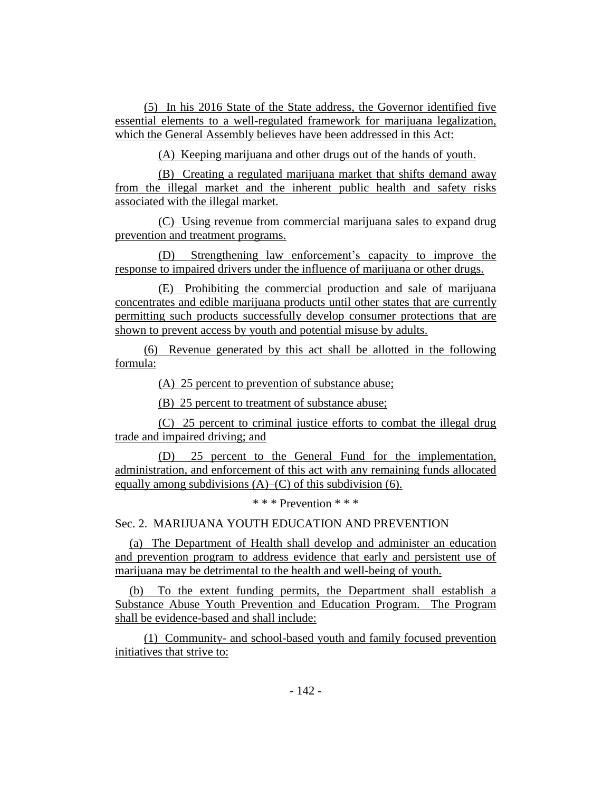(5) In his 2016 State of the State address, the Governor identified five essential elements to a well-regulated framework for marijuana legalization, which the General Assembly believes have been addressed in this Act:

(A) Keeping marijuana and other drugs out of the hands of youth.

(B) Creating a regulated marijuana market that shifts demand away from the illegal market and the inherent public health and safety risks associated with the illegal market.

(C) Using revenue from commercial marijuana sales to expand drug prevention and treatment programs.

(D) Strengthening law enforcement's capacity to improve the response to impaired drivers under the influence of marijuana or other drugs.

(E) Prohibiting the commercial production and sale of marijuana concentrates and edible marijuana products until other states that are currently permitting such products successfully develop consumer protections that are shown to prevent access by youth and potential misuse by adults.

(6) Revenue generated by this act shall be allotted in the following formula:

(A) 25 percent to prevention of substance abuse;

(B) 25 percent to treatment of substance abuse;

(C) 25 percent to criminal justice efforts to combat the illegal drug trade and impaired driving; and

(D) 25 percent to the General Fund for the implementation, administration, and enforcement of this act with any remaining funds allocated equally among subdivisions (A)–(C) of this subdivision (6).

\* \* \* Prevention \* \* \*

Sec. 2. MARIJUANA YOUTH EDUCATION AND PREVENTION

(a) The Department of Health shall develop and administer an education and prevention program to address evidence that early and persistent use of marijuana may be detrimental to the health and well-being of youth.

(b) To the extent funding permits, the Department shall establish a Substance Abuse Youth Prevention and Education Program. The Program shall be evidence-based and shall include:

(1) Community- and school-based youth and family focused prevention initiatives that strive to: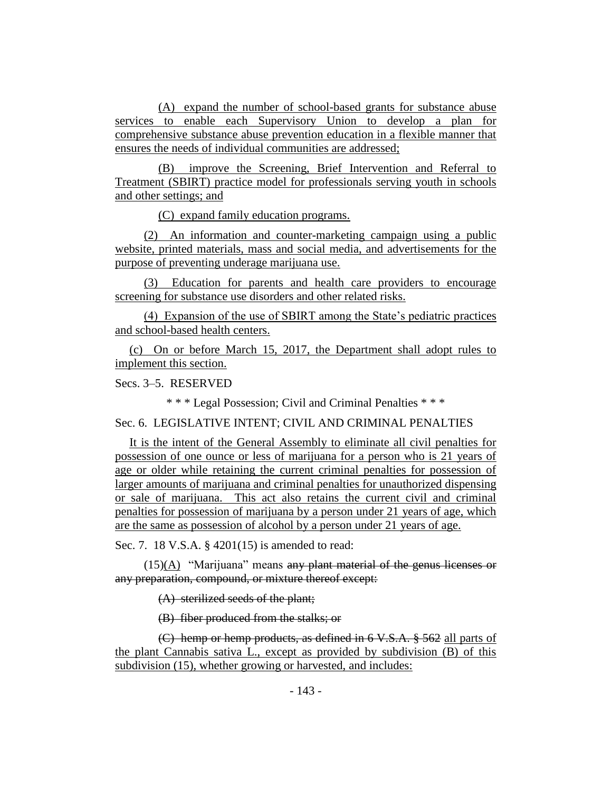(A) expand the number of school-based grants for substance abuse services to enable each Supervisory Union to develop a plan for comprehensive substance abuse prevention education in a flexible manner that ensures the needs of individual communities are addressed;

(B) improve the Screening, Brief Intervention and Referral to Treatment (SBIRT) practice model for professionals serving youth in schools and other settings; and

(C) expand family education programs.

(2) An information and counter-marketing campaign using a public website, printed materials, mass and social media, and advertisements for the purpose of preventing underage marijuana use.

(3) Education for parents and health care providers to encourage screening for substance use disorders and other related risks.

(4) Expansion of the use of SBIRT among the State's pediatric practices and school-based health centers.

(c) On or before March 15, 2017, the Department shall adopt rules to implement this section.

Secs. 3–5. RESERVED

\* \* \* Legal Possession; Civil and Criminal Penalties \* \* \*

Sec. 6. LEGISLATIVE INTENT; CIVIL AND CRIMINAL PENALTIES

It is the intent of the General Assembly to eliminate all civil penalties for possession of one ounce or less of marijuana for a person who is 21 years of age or older while retaining the current criminal penalties for possession of larger amounts of marijuana and criminal penalties for unauthorized dispensing or sale of marijuana. This act also retains the current civil and criminal penalties for possession of marijuana by a person under 21 years of age, which are the same as possession of alcohol by a person under 21 years of age.

Sec. 7. 18 V.S.A. § 4201(15) is amended to read:

 $(15)(A)$  "Marijuana" means any plant material of the genus licenses or any preparation, compound, or mixture thereof except:

(A) sterilized seeds of the plant;

(B) fiber produced from the stalks; or

(C) hemp or hemp products, as defined in 6 V.S.A. § 562 all parts of the plant Cannabis sativa L., except as provided by subdivision (B) of this subdivision (15), whether growing or harvested, and includes: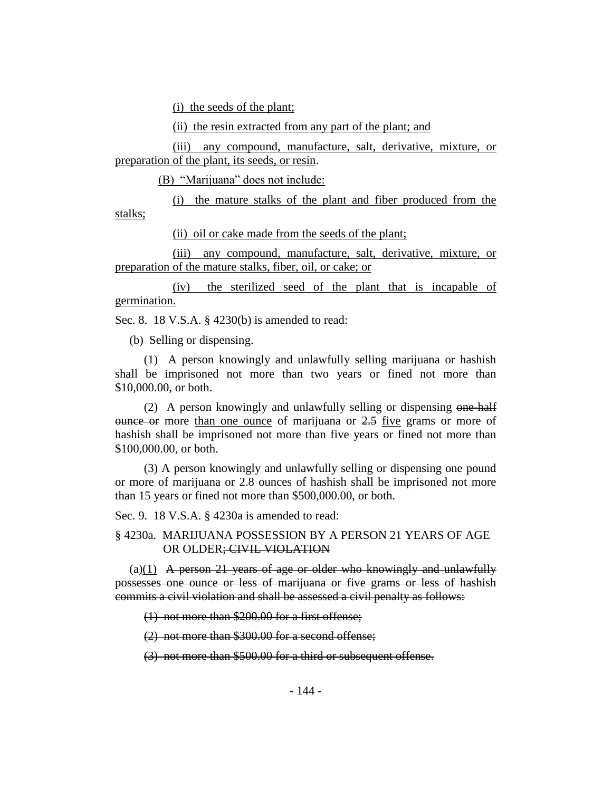(i) the seeds of the plant;

(ii) the resin extracted from any part of the plant; and

(iii) any compound, manufacture, salt, derivative, mixture, or preparation of the plant, its seeds, or resin.

(B) "Marijuana" does not include:

(i) the mature stalks of the plant and fiber produced from the stalks;

(ii) oil or cake made from the seeds of the plant;

(iii) any compound, manufacture, salt, derivative, mixture, or preparation of the mature stalks, fiber, oil, or cake; or

(iv) the sterilized seed of the plant that is incapable of germination.

Sec. 8. 18 V.S.A. § 4230(b) is amended to read:

(b) Selling or dispensing.

(1) A person knowingly and unlawfully selling marijuana or hashish shall be imprisoned not more than two years or fined not more than \$10,000.00, or both.

(2) A person knowingly and unlawfully selling or dispensing one-half  $\theta$  ounce or more than one ounce of marijuana or  $2.5$  five grams or more of hashish shall be imprisoned not more than five years or fined not more than \$100,000.00, or both.

(3) A person knowingly and unlawfully selling or dispensing one pound or more of marijuana or 2.8 ounces of hashish shall be imprisoned not more than 15 years or fined not more than \$500,000.00, or both.

Sec. 9. 18 V.S.A. § 4230a is amended to read:

§ 4230a. MARIJUANA POSSESSION BY A PERSON 21 YEARS OF AGE OR OLDER; CIVIL VIOLATION

 $(a)(1)$  A person 21 years of age or older who knowingly and unlawfully possesses one ounce or less of marijuana or five grams or less of hashish commits a civil violation and shall be assessed a civil penalty as follows:

(1) not more than \$200.00 for a first offense;

(2) not more than \$300.00 for a second offense;

(3) not more than \$500.00 for a third or subsequent offense.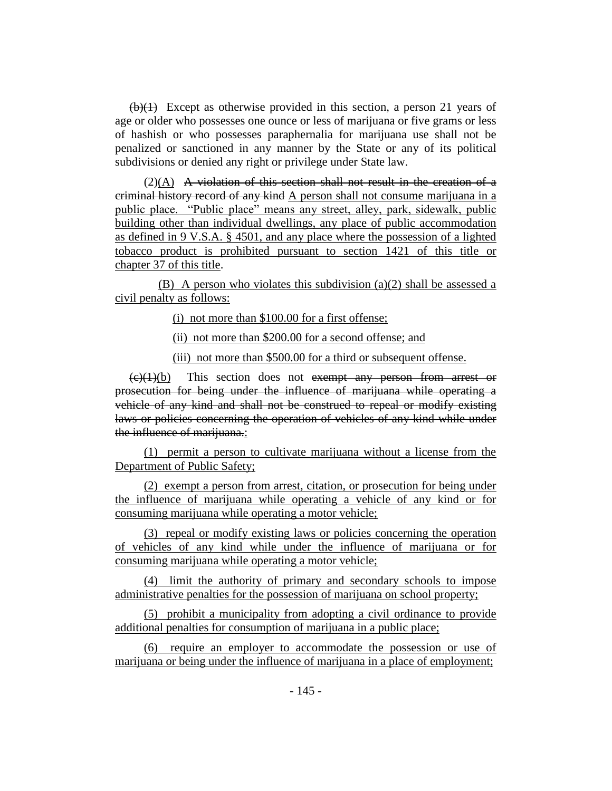(b)(1) Except as otherwise provided in this section, a person 21 years of age or older who possesses one ounce or less of marijuana or five grams or less of hashish or who possesses paraphernalia for marijuana use shall not be penalized or sanctioned in any manner by the State or any of its political subdivisions or denied any right or privilege under State law.

 $(2)(A)$  A violation of this section shall not result in the creation of a criminal history record of any kind A person shall not consume marijuana in a public place. "Public place" means any street, alley, park, sidewalk, public building other than individual dwellings, any place of public accommodation as defined in 9 V.S.A. § 4501, and any place where the possession of a lighted tobacco product is prohibited pursuant to section 1421 of this title or chapter 37 of this title.

(B) A person who violates this subdivision (a)(2) shall be assessed a civil penalty as follows:

(i) not more than \$100.00 for a first offense;

(ii) not more than \$200.00 for a second offense; and

(iii) not more than \$500.00 for a third or subsequent offense.

 $\left(\frac{e}{1}\right)(b)$  This section does not exempt any person from arrest or prosecution for being under the influence of marijuana while operating a vehicle of any kind and shall not be construed to repeal or modify existing laws or policies concerning the operation of vehicles of any kind while under the influence of marijuana.:

(1) permit a person to cultivate marijuana without a license from the Department of Public Safety;

(2) exempt a person from arrest, citation, or prosecution for being under the influence of marijuana while operating a vehicle of any kind or for consuming marijuana while operating a motor vehicle;

(3) repeal or modify existing laws or policies concerning the operation of vehicles of any kind while under the influence of marijuana or for consuming marijuana while operating a motor vehicle;

(4) limit the authority of primary and secondary schools to impose administrative penalties for the possession of marijuana on school property;

(5) prohibit a municipality from adopting a civil ordinance to provide additional penalties for consumption of marijuana in a public place;

(6) require an employer to accommodate the possession or use of marijuana or being under the influence of marijuana in a place of employment;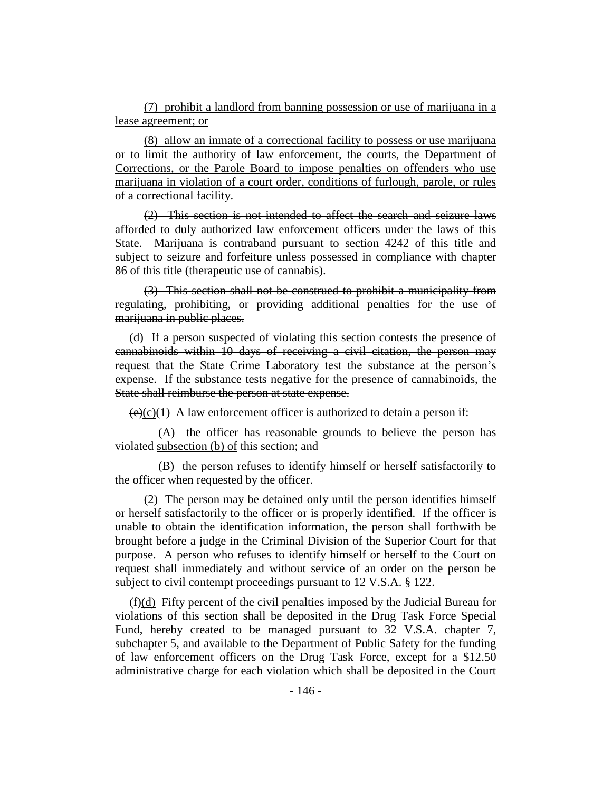(7) prohibit a landlord from banning possession or use of marijuana in a lease agreement; or

(8) allow an inmate of a correctional facility to possess or use marijuana or to limit the authority of law enforcement, the courts, the Department of Corrections, or the Parole Board to impose penalties on offenders who use marijuana in violation of a court order, conditions of furlough, parole, or rules of a correctional facility.

(2) This section is not intended to affect the search and seizure laws afforded to duly authorized law enforcement officers under the laws of this State. Marijuana is contraband pursuant to section 4242 of this title and subject to seizure and forfeiture unless possessed in compliance with chapter 86 of this title (therapeutic use of cannabis).

(3) This section shall not be construed to prohibit a municipality from regulating, prohibiting, or providing additional penalties for the use of marijuana in public places.

(d) If a person suspected of violating this section contests the presence of cannabinoids within 10 days of receiving a civil citation, the person may request that the State Crime Laboratory test the substance at the person's expense. If the substance tests negative for the presence of cannabinoids, the State shall reimburse the person at state expense.

 $(e)(c)(1)$  A law enforcement officer is authorized to detain a person if:

(A) the officer has reasonable grounds to believe the person has violated subsection (b) of this section; and

(B) the person refuses to identify himself or herself satisfactorily to the officer when requested by the officer.

(2) The person may be detained only until the person identifies himself or herself satisfactorily to the officer or is properly identified. If the officer is unable to obtain the identification information, the person shall forthwith be brought before a judge in the Criminal Division of the Superior Court for that purpose. A person who refuses to identify himself or herself to the Court on request shall immediately and without service of an order on the person be subject to civil contempt proceedings pursuant to 12 V.S.A. § 122.

 $(f)(d)$  Fifty percent of the civil penalties imposed by the Judicial Bureau for violations of this section shall be deposited in the Drug Task Force Special Fund, hereby created to be managed pursuant to 32 V.S.A. chapter 7, subchapter 5, and available to the Department of Public Safety for the funding of law enforcement officers on the Drug Task Force, except for a \$12.50 administrative charge for each violation which shall be deposited in the Court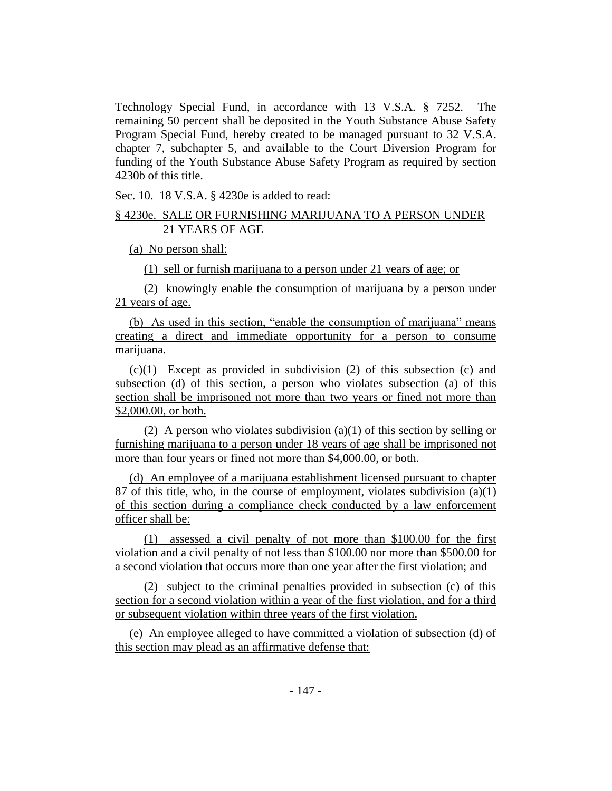Technology Special Fund, in accordance with 13 V.S.A. § 7252. The remaining 50 percent shall be deposited in the Youth Substance Abuse Safety Program Special Fund, hereby created to be managed pursuant to 32 V.S.A. chapter 7, subchapter 5, and available to the Court Diversion Program for funding of the Youth Substance Abuse Safety Program as required by section 4230b of this title.

Sec. 10. 18 V.S.A. § 4230e is added to read:

# § 4230e. SALE OR FURNISHING MARIJUANA TO A PERSON UNDER 21 YEARS OF AGE

(a) No person shall:

(1) sell or furnish marijuana to a person under 21 years of age; or

(2) knowingly enable the consumption of marijuana by a person under 21 years of age.

(b) As used in this section, "enable the consumption of marijuana" means creating a direct and immediate opportunity for a person to consume marijuana.

(c)(1) Except as provided in subdivision (2) of this subsection (c) and subsection (d) of this section, a person who violates subsection (a) of this section shall be imprisoned not more than two years or fined not more than \$2,000.00, or both.

(2) A person who violates subdivision (a)(1) of this section by selling or furnishing marijuana to a person under 18 years of age shall be imprisoned not more than four years or fined not more than \$4,000.00, or both.

(d) An employee of a marijuana establishment licensed pursuant to chapter 87 of this title, who, in the course of employment, violates subdivision (a)(1) of this section during a compliance check conducted by a law enforcement officer shall be:

(1) assessed a civil penalty of not more than \$100.00 for the first violation and a civil penalty of not less than \$100.00 nor more than \$500.00 for a second violation that occurs more than one year after the first violation; and

(2) subject to the criminal penalties provided in subsection (c) of this section for a second violation within a year of the first violation, and for a third or subsequent violation within three years of the first violation.

(e) An employee alleged to have committed a violation of subsection (d) of this section may plead as an affirmative defense that: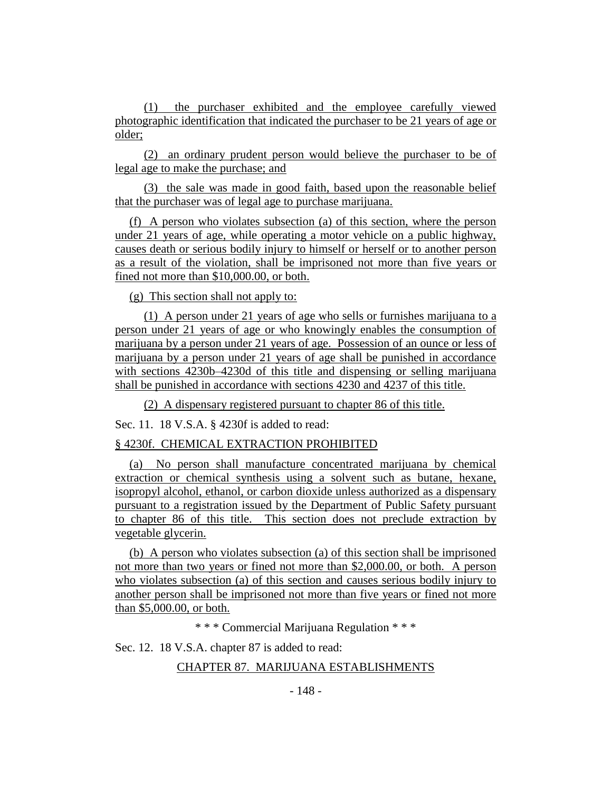(1) the purchaser exhibited and the employee carefully viewed photographic identification that indicated the purchaser to be 21 years of age or older;

(2) an ordinary prudent person would believe the purchaser to be of legal age to make the purchase; and

(3) the sale was made in good faith, based upon the reasonable belief that the purchaser was of legal age to purchase marijuana.

(f) A person who violates subsection (a) of this section, where the person under 21 years of age, while operating a motor vehicle on a public highway, causes death or serious bodily injury to himself or herself or to another person as a result of the violation, shall be imprisoned not more than five years or fined not more than \$10,000.00, or both.

(g) This section shall not apply to:

(1) A person under 21 years of age who sells or furnishes marijuana to a person under 21 years of age or who knowingly enables the consumption of marijuana by a person under 21 years of age. Possession of an ounce or less of marijuana by a person under 21 years of age shall be punished in accordance with sections 4230b–4230d of this title and dispensing or selling marijuana shall be punished in accordance with sections 4230 and 4237 of this title.

(2) A dispensary registered pursuant to chapter 86 of this title.

Sec. 11. 18 V.S.A. § 4230f is added to read:

## § 4230f. CHEMICAL EXTRACTION PROHIBITED

(a) No person shall manufacture concentrated marijuana by chemical extraction or chemical synthesis using a solvent such as butane, hexane, isopropyl alcohol, ethanol, or carbon dioxide unless authorized as a dispensary pursuant to a registration issued by the Department of Public Safety pursuant to chapter 86 of this title. This section does not preclude extraction by vegetable glycerin.

(b) A person who violates subsection (a) of this section shall be imprisoned not more than two years or fined not more than \$2,000.00, or both. A person who violates subsection (a) of this section and causes serious bodily injury to another person shall be imprisoned not more than five years or fined not more than \$5,000.00, or both.

\* \* \* Commercial Marijuana Regulation \* \* \*

Sec. 12. 18 V.S.A. chapter 87 is added to read:

## CHAPTER 87. MARIJUANA ESTABLISHMENTS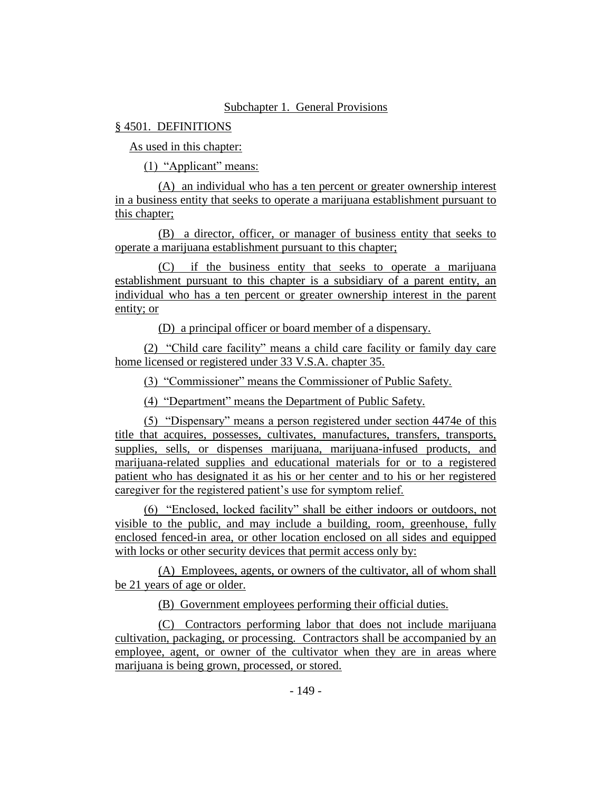## Subchapter 1. General Provisions

## § 4501. DEFINITIONS

As used in this chapter:

(1) "Applicant" means:

(A) an individual who has a ten percent or greater ownership interest in a business entity that seeks to operate a marijuana establishment pursuant to this chapter;

(B) a director, officer, or manager of business entity that seeks to operate a marijuana establishment pursuant to this chapter;

(C) if the business entity that seeks to operate a marijuana establishment pursuant to this chapter is a subsidiary of a parent entity, an individual who has a ten percent or greater ownership interest in the parent entity; or

(D) a principal officer or board member of a dispensary.

(2) "Child care facility" means a child care facility or family day care home licensed or registered under 33 V.S.A. chapter 35.

(3) "Commissioner" means the Commissioner of Public Safety.

(4) "Department" means the Department of Public Safety.

(5) "Dispensary" means a person registered under section 4474e of this title that acquires, possesses, cultivates, manufactures, transfers, transports, supplies, sells, or dispenses marijuana, marijuana-infused products, and marijuana-related supplies and educational materials for or to a registered patient who has designated it as his or her center and to his or her registered caregiver for the registered patient's use for symptom relief.

(6) "Enclosed, locked facility" shall be either indoors or outdoors, not visible to the public, and may include a building, room, greenhouse, fully enclosed fenced-in area, or other location enclosed on all sides and equipped with locks or other security devices that permit access only by:

(A) Employees, agents, or owners of the cultivator, all of whom shall be 21 years of age or older.

(B) Government employees performing their official duties.

(C) Contractors performing labor that does not include marijuana cultivation, packaging, or processing. Contractors shall be accompanied by an employee, agent, or owner of the cultivator when they are in areas where marijuana is being grown, processed, or stored.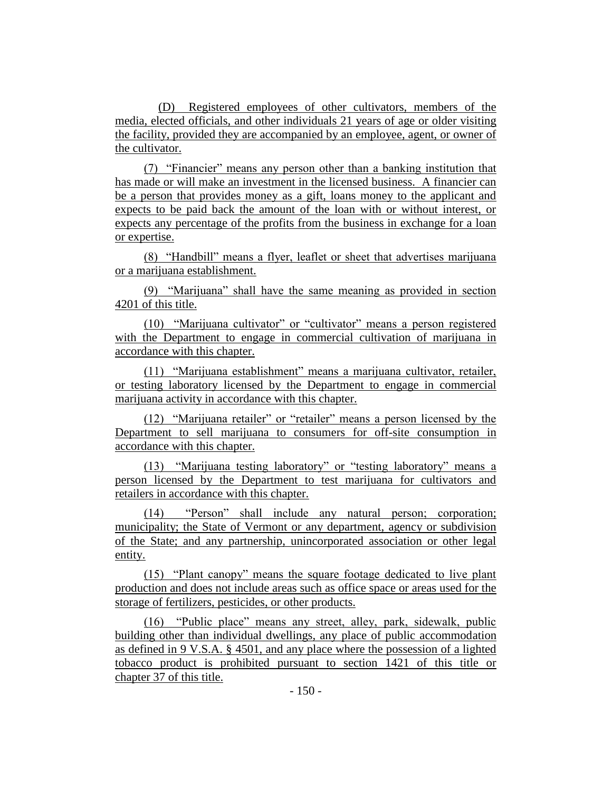(D) Registered employees of other cultivators, members of the media, elected officials, and other individuals 21 years of age or older visiting the facility, provided they are accompanied by an employee, agent, or owner of the cultivator.

(7) "Financier" means any person other than a banking institution that has made or will make an investment in the licensed business. A financier can be a person that provides money as a gift, loans money to the applicant and expects to be paid back the amount of the loan with or without interest, or expects any percentage of the profits from the business in exchange for a loan or expertise.

(8) "Handbill" means a flyer, leaflet or sheet that advertises marijuana or a marijuana establishment.

(9) "Marijuana" shall have the same meaning as provided in section 4201 of this title.

(10) "Marijuana cultivator" or "cultivator" means a person registered with the Department to engage in commercial cultivation of marijuana in accordance with this chapter.

(11) "Marijuana establishment" means a marijuana cultivator, retailer, or testing laboratory licensed by the Department to engage in commercial marijuana activity in accordance with this chapter.

(12) "Marijuana retailer" or "retailer" means a person licensed by the Department to sell marijuana to consumers for off-site consumption in accordance with this chapter.

(13) "Marijuana testing laboratory" or "testing laboratory" means a person licensed by the Department to test marijuana for cultivators and retailers in accordance with this chapter.

(14) "Person" shall include any natural person; corporation; municipality; the State of Vermont or any department, agency or subdivision of the State; and any partnership, unincorporated association or other legal entity.

(15) "Plant canopy" means the square footage dedicated to live plant production and does not include areas such as office space or areas used for the storage of fertilizers, pesticides, or other products.

(16) "Public place" means any street, alley, park, sidewalk, public building other than individual dwellings, any place of public accommodation as defined in 9 V.S.A. § 4501, and any place where the possession of a lighted tobacco product is prohibited pursuant to section 1421 of this title or chapter 37 of this title.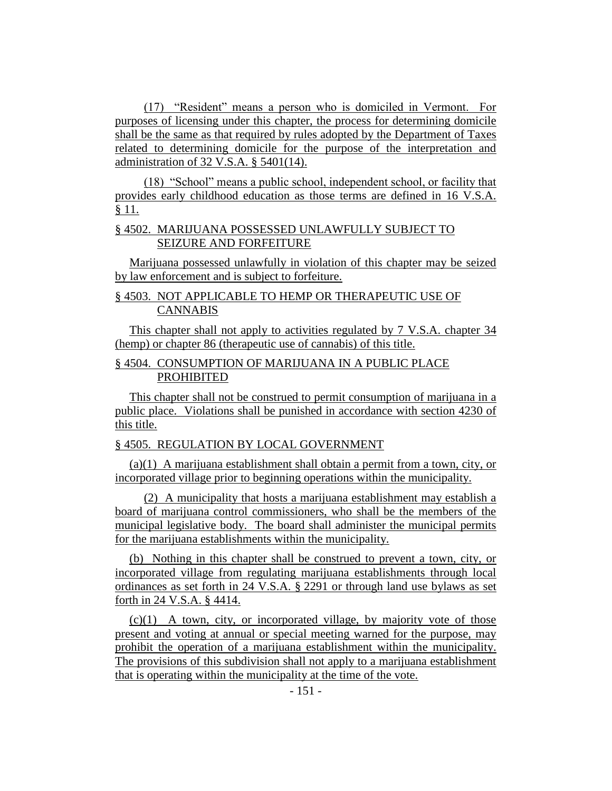(17) "Resident" means a person who is domiciled in Vermont. For purposes of licensing under this chapter, the process for determining domicile shall be the same as that required by rules adopted by the Department of Taxes related to determining domicile for the purpose of the interpretation and administration of 32 V.S.A. § 5401(14).

(18) "School" means a public school, independent school, or facility that provides early childhood education as those terms are defined in 16 V.S.A. § 11.

# § 4502. MARIJUANA POSSESSED UNLAWFULLY SUBJECT TO SEIZURE AND FORFEITURE

Marijuana possessed unlawfully in violation of this chapter may be seized by law enforcement and is subject to forfeiture.

# § 4503. NOT APPLICABLE TO HEMP OR THERAPEUTIC USE OF CANNABIS

This chapter shall not apply to activities regulated by 7 V.S.A. chapter 34 (hemp) or chapter 86 (therapeutic use of cannabis) of this title.

# § 4504. CONSUMPTION OF MARIJUANA IN A PUBLIC PLACE PROHIBITED

This chapter shall not be construed to permit consumption of marijuana in a public place. Violations shall be punished in accordance with section 4230 of this title.

# § 4505. REGULATION BY LOCAL GOVERNMENT

(a)(1) A marijuana establishment shall obtain a permit from a town, city, or incorporated village prior to beginning operations within the municipality.

(2) A municipality that hosts a marijuana establishment may establish a board of marijuana control commissioners, who shall be the members of the municipal legislative body. The board shall administer the municipal permits for the marijuana establishments within the municipality.

(b) Nothing in this chapter shall be construed to prevent a town, city, or incorporated village from regulating marijuana establishments through local ordinances as set forth in 24 V.S.A. § 2291 or through land use bylaws as set forth in 24 V.S.A. § 4414.

 $(c)(1)$  A town, city, or incorporated village, by majority vote of those present and voting at annual or special meeting warned for the purpose, may prohibit the operation of a marijuana establishment within the municipality. The provisions of this subdivision shall not apply to a marijuana establishment that is operating within the municipality at the time of the vote.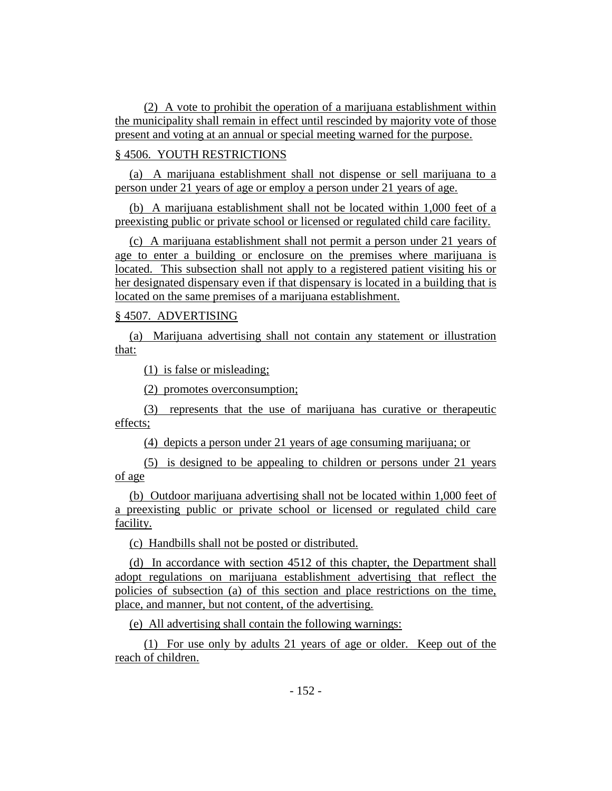(2) A vote to prohibit the operation of a marijuana establishment within the municipality shall remain in effect until rescinded by majority vote of those present and voting at an annual or special meeting warned for the purpose.

# § 4506. YOUTH RESTRICTIONS

(a) A marijuana establishment shall not dispense or sell marijuana to a person under 21 years of age or employ a person under 21 years of age.

(b) A marijuana establishment shall not be located within 1,000 feet of a preexisting public or private school or licensed or regulated child care facility.

(c) A marijuana establishment shall not permit a person under 21 years of age to enter a building or enclosure on the premises where marijuana is located. This subsection shall not apply to a registered patient visiting his or her designated dispensary even if that dispensary is located in a building that is located on the same premises of a marijuana establishment.

# § 4507. ADVERTISING

(a) Marijuana advertising shall not contain any statement or illustration that:

(1) is false or misleading;

(2) promotes overconsumption;

(3) represents that the use of marijuana has curative or therapeutic effects;

(4) depicts a person under 21 years of age consuming marijuana; or

(5) is designed to be appealing to children or persons under 21 years of age

(b) Outdoor marijuana advertising shall not be located within 1,000 feet of a preexisting public or private school or licensed or regulated child care facility.

(c) Handbills shall not be posted or distributed.

(d) In accordance with section 4512 of this chapter, the Department shall adopt regulations on marijuana establishment advertising that reflect the policies of subsection (a) of this section and place restrictions on the time, place, and manner, but not content, of the advertising.

(e) All advertising shall contain the following warnings:

(1) For use only by adults 21 years of age or older. Keep out of the reach of children.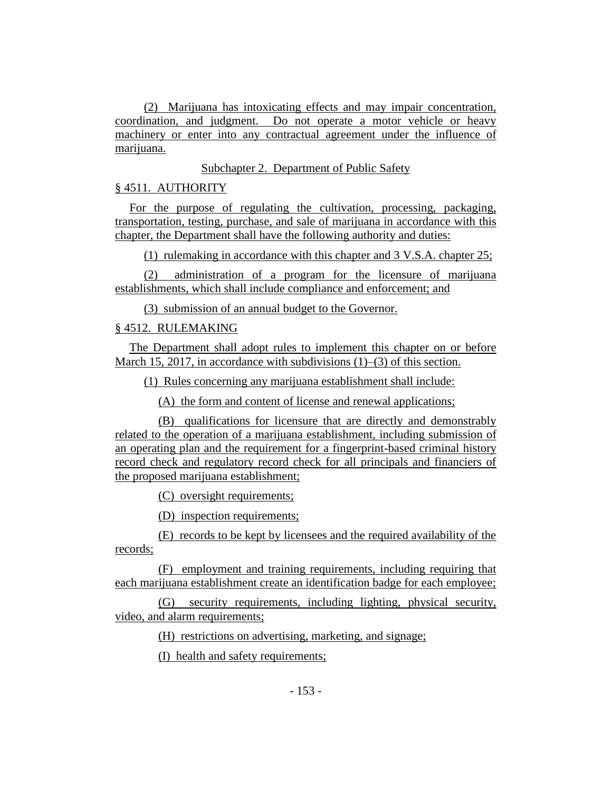(2) Marijuana has intoxicating effects and may impair concentration, coordination, and judgment. Do not operate a motor vehicle or heavy machinery or enter into any contractual agreement under the influence of marijuana.

Subchapter 2. Department of Public Safety

§ 4511. AUTHORITY

For the purpose of regulating the cultivation, processing, packaging, transportation, testing, purchase, and sale of marijuana in accordance with this chapter, the Department shall have the following authority and duties:

(1) rulemaking in accordance with this chapter and 3 V.S.A. chapter 25;

(2) administration of a program for the licensure of marijuana establishments, which shall include compliance and enforcement; and

(3) submission of an annual budget to the Governor.

# § 4512. RULEMAKING

The Department shall adopt rules to implement this chapter on or before March 15, 2017, in accordance with subdivisions (1)–(3) of this section.

(1) Rules concerning any marijuana establishment shall include:

(A) the form and content of license and renewal applications;

(B) qualifications for licensure that are directly and demonstrably related to the operation of a marijuana establishment, including submission of an operating plan and the requirement for a fingerprint-based criminal history record check and regulatory record check for all principals and financiers of the proposed marijuana establishment;

(C) oversight requirements;

(D) inspection requirements;

(E) records to be kept by licensees and the required availability of the records;

(F) employment and training requirements, including requiring that each marijuana establishment create an identification badge for each employee;

(G) security requirements, including lighting, physical security, video, and alarm requirements;

(H) restrictions on advertising, marketing, and signage;

(I) health and safety requirements;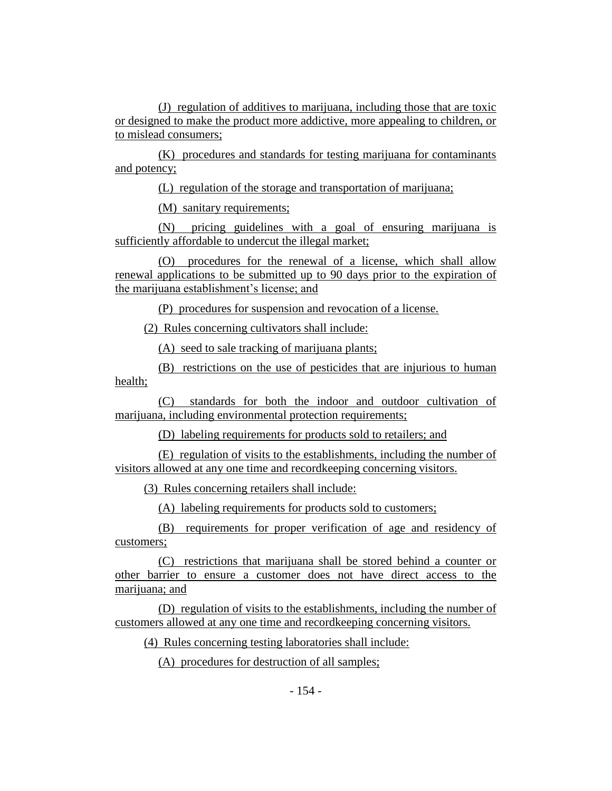(J) regulation of additives to marijuana, including those that are toxic or designed to make the product more addictive, more appealing to children, or to mislead consumers;

(K) procedures and standards for testing marijuana for contaminants and potency;

(L) regulation of the storage and transportation of marijuana;

(M) sanitary requirements;

(N) pricing guidelines with a goal of ensuring marijuana is sufficiently affordable to undercut the illegal market;

(O) procedures for the renewal of a license, which shall allow renewal applications to be submitted up to 90 days prior to the expiration of the marijuana establishment's license; and

(P) procedures for suspension and revocation of a license.

(2) Rules concerning cultivators shall include:

(A) seed to sale tracking of marijuana plants;

(B) restrictions on the use of pesticides that are injurious to human health;

(C) standards for both the indoor and outdoor cultivation of marijuana, including environmental protection requirements;

(D) labeling requirements for products sold to retailers; and

(E) regulation of visits to the establishments, including the number of visitors allowed at any one time and recordkeeping concerning visitors.

(3) Rules concerning retailers shall include:

(A) labeling requirements for products sold to customers;

(B) requirements for proper verification of age and residency of customers;

(C) restrictions that marijuana shall be stored behind a counter or other barrier to ensure a customer does not have direct access to the marijuana; and

(D) regulation of visits to the establishments, including the number of customers allowed at any one time and recordkeeping concerning visitors.

(4) Rules concerning testing laboratories shall include:

(A) procedures for destruction of all samples;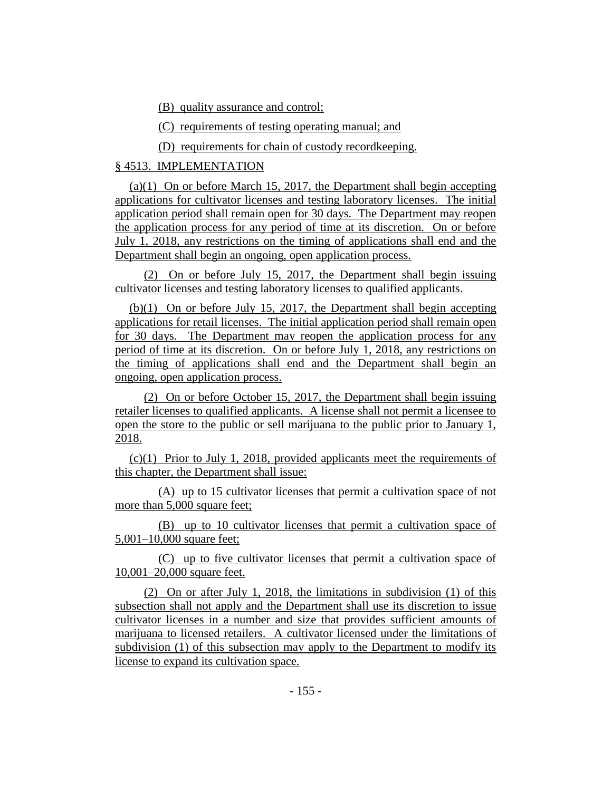(B) quality assurance and control;

(C) requirements of testing operating manual; and

(D) requirements for chain of custody recordkeeping.

# § 4513. IMPLEMENTATION

(a)(1) On or before March 15, 2017, the Department shall begin accepting applications for cultivator licenses and testing laboratory licenses. The initial application period shall remain open for 30 days. The Department may reopen the application process for any period of time at its discretion. On or before July 1, 2018, any restrictions on the timing of applications shall end and the Department shall begin an ongoing, open application process.

(2) On or before July 15, 2017, the Department shall begin issuing cultivator licenses and testing laboratory licenses to qualified applicants.

(b)(1) On or before July 15, 2017, the Department shall begin accepting applications for retail licenses. The initial application period shall remain open for 30 days. The Department may reopen the application process for any period of time at its discretion. On or before July 1, 2018, any restrictions on the timing of applications shall end and the Department shall begin an ongoing, open application process.

(2) On or before October 15, 2017, the Department shall begin issuing retailer licenses to qualified applicants. A license shall not permit a licensee to open the store to the public or sell marijuana to the public prior to January 1, 2018.

(c)(1) Prior to July 1, 2018, provided applicants meet the requirements of this chapter, the Department shall issue:

(A) up to 15 cultivator licenses that permit a cultivation space of not more than 5,000 square feet;

(B) up to 10 cultivator licenses that permit a cultivation space of 5,001–10,000 square feet;

(C) up to five cultivator licenses that permit a cultivation space of 10,001–20,000 square feet.

(2) On or after July 1, 2018, the limitations in subdivision (1) of this subsection shall not apply and the Department shall use its discretion to issue cultivator licenses in a number and size that provides sufficient amounts of marijuana to licensed retailers. A cultivator licensed under the limitations of subdivision (1) of this subsection may apply to the Department to modify its license to expand its cultivation space.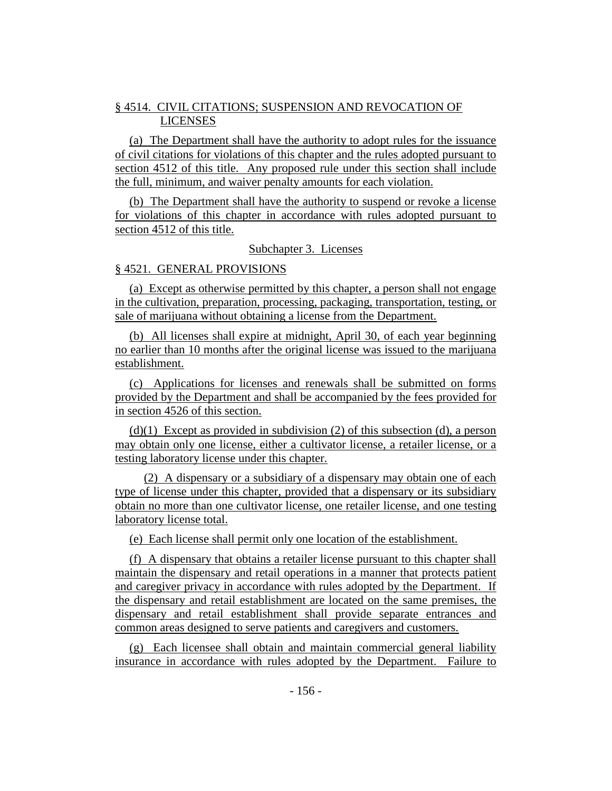# § 4514. CIVIL CITATIONS; SUSPENSION AND REVOCATION OF LICENSES

(a) The Department shall have the authority to adopt rules for the issuance of civil citations for violations of this chapter and the rules adopted pursuant to section 4512 of this title. Any proposed rule under this section shall include the full, minimum, and waiver penalty amounts for each violation.

(b) The Department shall have the authority to suspend or revoke a license for violations of this chapter in accordance with rules adopted pursuant to section 4512 of this title.

Subchapter 3. Licenses

## § 4521. GENERAL PROVISIONS

(a) Except as otherwise permitted by this chapter, a person shall not engage in the cultivation, preparation, processing, packaging, transportation, testing, or sale of marijuana without obtaining a license from the Department.

(b) All licenses shall expire at midnight, April 30, of each year beginning no earlier than 10 months after the original license was issued to the marijuana establishment.

(c) Applications for licenses and renewals shall be submitted on forms provided by the Department and shall be accompanied by the fees provided for in section 4526 of this section.

 $(d)(1)$  Except as provided in subdivision (2) of this subsection (d), a person may obtain only one license, either a cultivator license, a retailer license, or a testing laboratory license under this chapter.

(2) A dispensary or a subsidiary of a dispensary may obtain one of each type of license under this chapter, provided that a dispensary or its subsidiary obtain no more than one cultivator license, one retailer license, and one testing laboratory license total.

(e) Each license shall permit only one location of the establishment.

(f) A dispensary that obtains a retailer license pursuant to this chapter shall maintain the dispensary and retail operations in a manner that protects patient and caregiver privacy in accordance with rules adopted by the Department. If the dispensary and retail establishment are located on the same premises, the dispensary and retail establishment shall provide separate entrances and common areas designed to serve patients and caregivers and customers.

(g) Each licensee shall obtain and maintain commercial general liability insurance in accordance with rules adopted by the Department. Failure to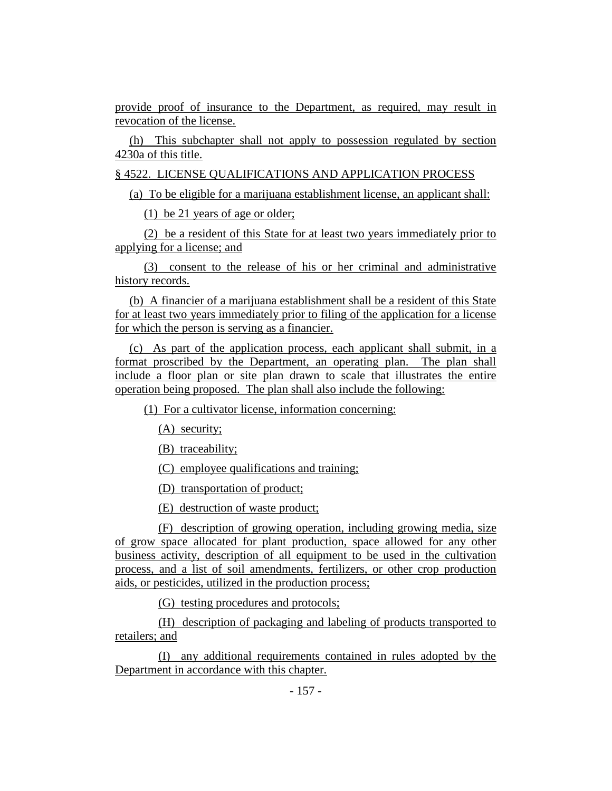provide proof of insurance to the Department, as required, may result in revocation of the license.

(h) This subchapter shall not apply to possession regulated by section 4230a of this title.

§ 4522. LICENSE QUALIFICATIONS AND APPLICATION PROCESS

(a) To be eligible for a marijuana establishment license, an applicant shall:

(1) be 21 years of age or older;

(2) be a resident of this State for at least two years immediately prior to applying for a license; and

(3) consent to the release of his or her criminal and administrative history records.

(b) A financier of a marijuana establishment shall be a resident of this State for at least two years immediately prior to filing of the application for a license for which the person is serving as a financier.

(c) As part of the application process, each applicant shall submit, in a format proscribed by the Department, an operating plan. The plan shall include a floor plan or site plan drawn to scale that illustrates the entire operation being proposed. The plan shall also include the following:

(1) For a cultivator license, information concerning:

(A) security;

(B) traceability;

(C) employee qualifications and training;

(D) transportation of product;

(E) destruction of waste product;

(F) description of growing operation, including growing media, size of grow space allocated for plant production, space allowed for any other business activity, description of all equipment to be used in the cultivation process, and a list of soil amendments, fertilizers, or other crop production aids, or pesticides, utilized in the production process;

(G) testing procedures and protocols;

(H) description of packaging and labeling of products transported to retailers; and

(I) any additional requirements contained in rules adopted by the Department in accordance with this chapter.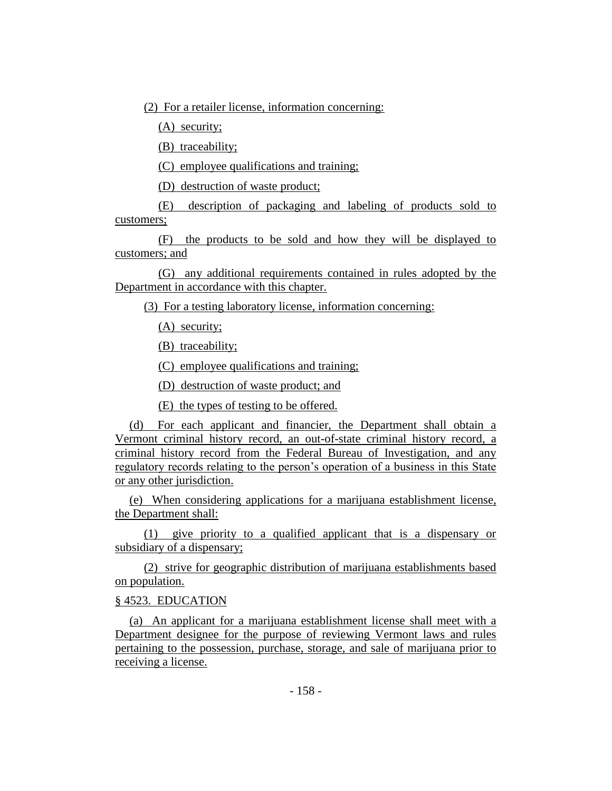(2) For a retailer license, information concerning:

(A) security;

(B) traceability;

(C) employee qualifications and training;

(D) destruction of waste product;

(E) description of packaging and labeling of products sold to customers;

(F) the products to be sold and how they will be displayed to customers; and

(G) any additional requirements contained in rules adopted by the Department in accordance with this chapter.

(3) For a testing laboratory license, information concerning:

(A) security;

(B) traceability;

(C) employee qualifications and training;

(D) destruction of waste product; and

(E) the types of testing to be offered.

(d) For each applicant and financier, the Department shall obtain a Vermont criminal history record, an out-of-state criminal history record, a criminal history record from the Federal Bureau of Investigation, and any regulatory records relating to the person's operation of a business in this State or any other jurisdiction.

(e) When considering applications for a marijuana establishment license, the Department shall:

(1) give priority to a qualified applicant that is a dispensary or subsidiary of a dispensary;

(2) strive for geographic distribution of marijuana establishments based on population.

# § 4523. EDUCATION

(a) An applicant for a marijuana establishment license shall meet with a Department designee for the purpose of reviewing Vermont laws and rules pertaining to the possession, purchase, storage, and sale of marijuana prior to receiving a license.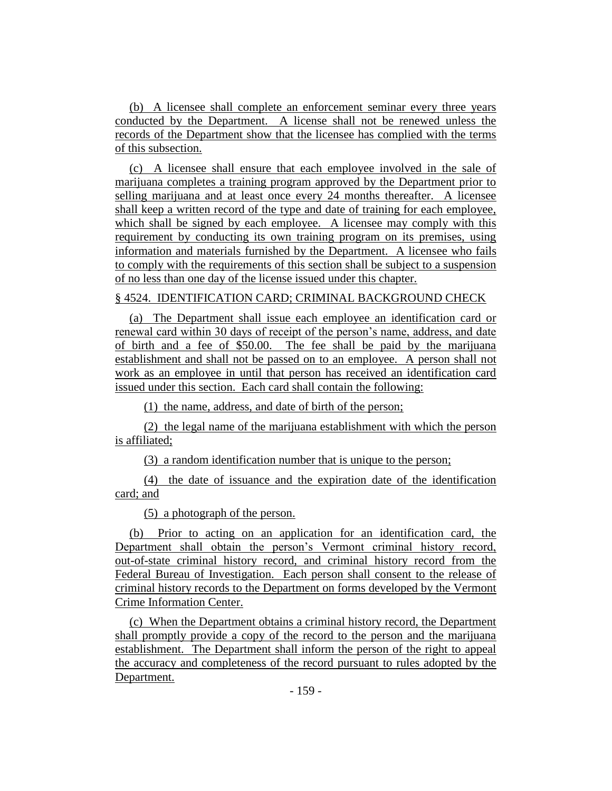(b) A licensee shall complete an enforcement seminar every three years conducted by the Department. A license shall not be renewed unless the records of the Department show that the licensee has complied with the terms of this subsection.

(c) A licensee shall ensure that each employee involved in the sale of marijuana completes a training program approved by the Department prior to selling marijuana and at least once every 24 months thereafter. A licensee shall keep a written record of the type and date of training for each employee, which shall be signed by each employee. A licensee may comply with this requirement by conducting its own training program on its premises, using information and materials furnished by the Department. A licensee who fails to comply with the requirements of this section shall be subject to a suspension of no less than one day of the license issued under this chapter.

## § 4524. IDENTIFICATION CARD; CRIMINAL BACKGROUND CHECK

(a) The Department shall issue each employee an identification card or renewal card within 30 days of receipt of the person's name, address, and date of birth and a fee of \$50.00. The fee shall be paid by the marijuana establishment and shall not be passed on to an employee. A person shall not work as an employee in until that person has received an identification card issued under this section. Each card shall contain the following:

(1) the name, address, and date of birth of the person;

(2) the legal name of the marijuana establishment with which the person is affiliated;

(3) a random identification number that is unique to the person;

(4) the date of issuance and the expiration date of the identification card; and

(5) a photograph of the person.

(b) Prior to acting on an application for an identification card, the Department shall obtain the person's Vermont criminal history record, out-of-state criminal history record, and criminal history record from the Federal Bureau of Investigation. Each person shall consent to the release of criminal history records to the Department on forms developed by the Vermont Crime Information Center.

(c) When the Department obtains a criminal history record, the Department shall promptly provide a copy of the record to the person and the marijuana establishment. The Department shall inform the person of the right to appeal the accuracy and completeness of the record pursuant to rules adopted by the Department.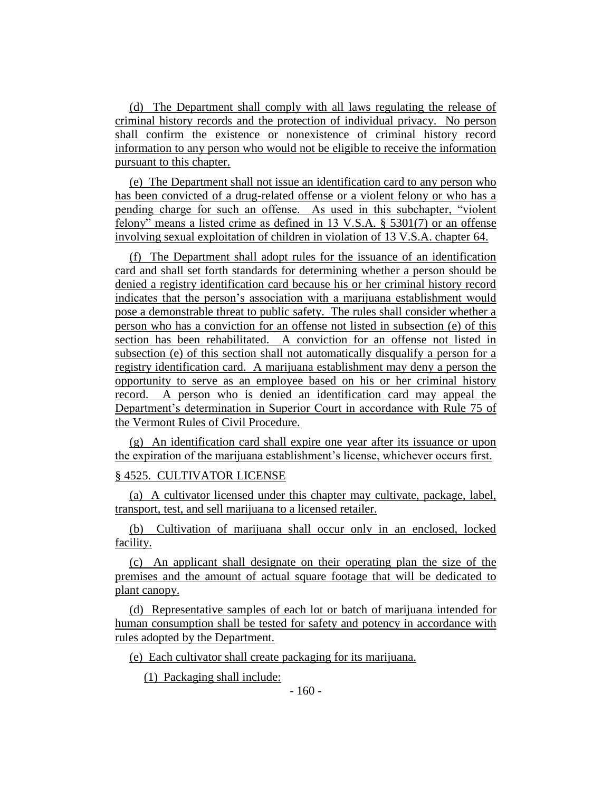(d) The Department shall comply with all laws regulating the release of criminal history records and the protection of individual privacy. No person shall confirm the existence or nonexistence of criminal history record information to any person who would not be eligible to receive the information pursuant to this chapter.

(e) The Department shall not issue an identification card to any person who has been convicted of a drug-related offense or a violent felony or who has a pending charge for such an offense. As used in this subchapter, "violent felony" means a listed crime as defined in 13 V.S.A. § 5301(7) or an offense involving sexual exploitation of children in violation of 13 V.S.A. chapter 64.

(f) The Department shall adopt rules for the issuance of an identification card and shall set forth standards for determining whether a person should be denied a registry identification card because his or her criminal history record indicates that the person's association with a marijuana establishment would pose a demonstrable threat to public safety. The rules shall consider whether a person who has a conviction for an offense not listed in subsection (e) of this section has been rehabilitated. A conviction for an offense not listed in subsection (e) of this section shall not automatically disqualify a person for a registry identification card. A marijuana establishment may deny a person the opportunity to serve as an employee based on his or her criminal history record. A person who is denied an identification card may appeal the Department's determination in Superior Court in accordance with Rule 75 of the Vermont Rules of Civil Procedure.

(g) An identification card shall expire one year after its issuance or upon the expiration of the marijuana establishment's license, whichever occurs first.

# § 4525. CULTIVATOR LICENSE

(a) A cultivator licensed under this chapter may cultivate, package, label, transport, test, and sell marijuana to a licensed retailer.

(b) Cultivation of marijuana shall occur only in an enclosed, locked facility.

(c) An applicant shall designate on their operating plan the size of the premises and the amount of actual square footage that will be dedicated to plant canopy.

(d) Representative samples of each lot or batch of marijuana intended for human consumption shall be tested for safety and potency in accordance with rules adopted by the Department.

(e) Each cultivator shall create packaging for its marijuana.

(1) Packaging shall include: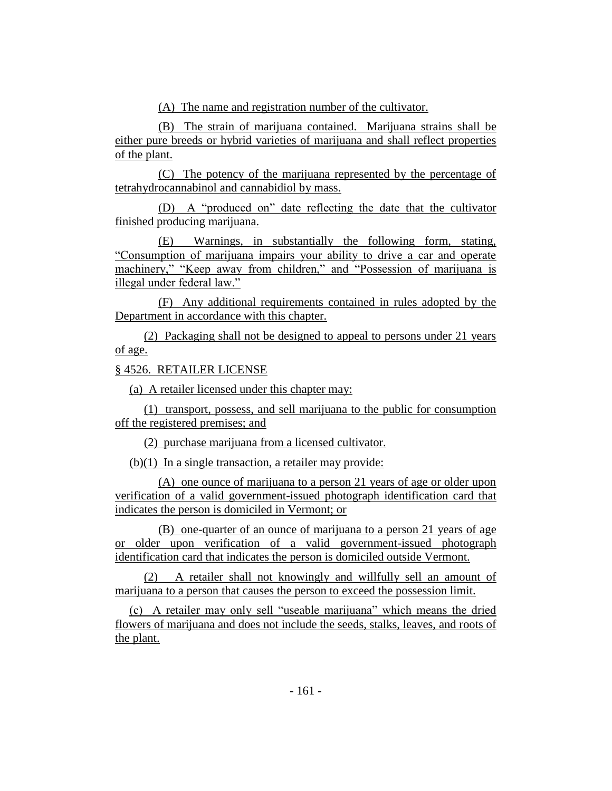(A) The name and registration number of the cultivator.

(B) The strain of marijuana contained. Marijuana strains shall be either pure breeds or hybrid varieties of marijuana and shall reflect properties of the plant.

(C) The potency of the marijuana represented by the percentage of tetrahydrocannabinol and cannabidiol by mass.

(D) A "produced on" date reflecting the date that the cultivator finished producing marijuana.

(E) Warnings, in substantially the following form, stating, "Consumption of marijuana impairs your ability to drive a car and operate machinery," "Keep away from children," and "Possession of marijuana is illegal under federal law."

(F) Any additional requirements contained in rules adopted by the Department in accordance with this chapter.

(2) Packaging shall not be designed to appeal to persons under 21 years of age.

# § 4526. RETAILER LICENSE

(a) A retailer licensed under this chapter may:

(1) transport, possess, and sell marijuana to the public for consumption off the registered premises; and

(2) purchase marijuana from a licensed cultivator.

(b)(1) In a single transaction, a retailer may provide:

(A) one ounce of marijuana to a person 21 years of age or older upon verification of a valid government-issued photograph identification card that indicates the person is domiciled in Vermont; or

(B) one-quarter of an ounce of marijuana to a person 21 years of age or older upon verification of a valid government-issued photograph identification card that indicates the person is domiciled outside Vermont.

(2) A retailer shall not knowingly and willfully sell an amount of marijuana to a person that causes the person to exceed the possession limit.

(c) A retailer may only sell "useable marijuana" which means the dried flowers of marijuana and does not include the seeds, stalks, leaves, and roots of the plant.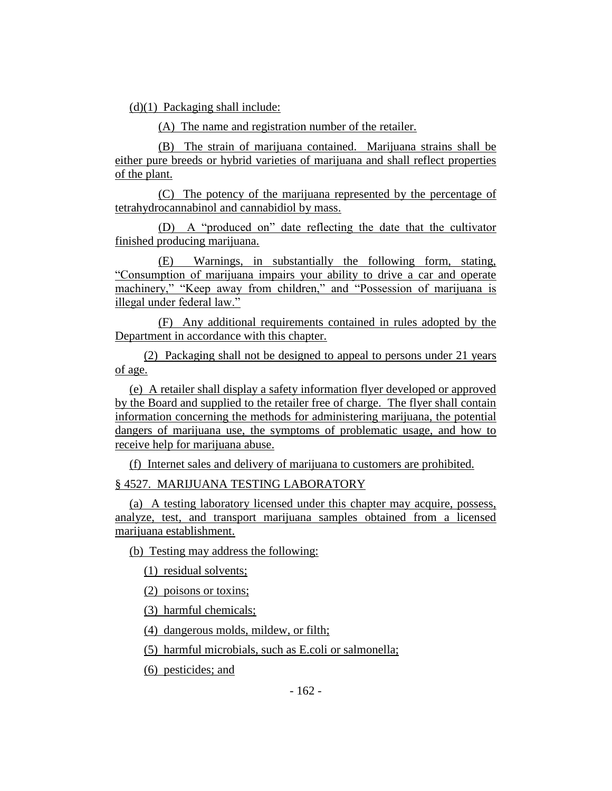(d)(1) Packaging shall include:

(A) The name and registration number of the retailer.

(B) The strain of marijuana contained. Marijuana strains shall be either pure breeds or hybrid varieties of marijuana and shall reflect properties of the plant.

(C) The potency of the marijuana represented by the percentage of tetrahydrocannabinol and cannabidiol by mass.

(D) A "produced on" date reflecting the date that the cultivator finished producing marijuana.

(E) Warnings, in substantially the following form, stating, "Consumption of marijuana impairs your ability to drive a car and operate machinery," "Keep away from children," and "Possession of marijuana is illegal under federal law."

(F) Any additional requirements contained in rules adopted by the Department in accordance with this chapter.

(2) Packaging shall not be designed to appeal to persons under 21 years of age.

(e) A retailer shall display a safety information flyer developed or approved by the Board and supplied to the retailer free of charge. The flyer shall contain information concerning the methods for administering marijuana, the potential dangers of marijuana use, the symptoms of problematic usage, and how to receive help for marijuana abuse.

(f) Internet sales and delivery of marijuana to customers are prohibited.

§ 4527. MARIJUANA TESTING LABORATORY

(a) A testing laboratory licensed under this chapter may acquire, possess, analyze, test, and transport marijuana samples obtained from a licensed marijuana establishment.

(b) Testing may address the following:

(1) residual solvents;

(2) poisons or toxins;

(3) harmful chemicals;

(4) dangerous molds, mildew, or filth;

(5) harmful microbials, such as E.coli or salmonella;

(6) pesticides; and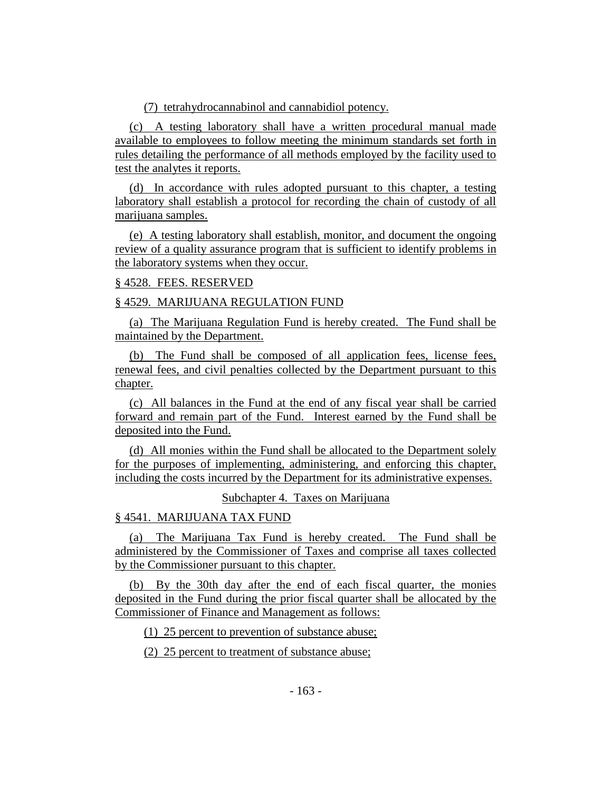# (7) tetrahydrocannabinol and cannabidiol potency.

(c) A testing laboratory shall have a written procedural manual made available to employees to follow meeting the minimum standards set forth in rules detailing the performance of all methods employed by the facility used to test the analytes it reports.

(d) In accordance with rules adopted pursuant to this chapter, a testing laboratory shall establish a protocol for recording the chain of custody of all marijuana samples.

(e) A testing laboratory shall establish, monitor, and document the ongoing review of a quality assurance program that is sufficient to identify problems in the laboratory systems when they occur.

## § 4528. FEES. RESERVED

# § 4529. MARIJUANA REGULATION FUND

(a) The Marijuana Regulation Fund is hereby created. The Fund shall be maintained by the Department.

(b) The Fund shall be composed of all application fees, license fees, renewal fees, and civil penalties collected by the Department pursuant to this chapter.

(c) All balances in the Fund at the end of any fiscal year shall be carried forward and remain part of the Fund. Interest earned by the Fund shall be deposited into the Fund.

(d) All monies within the Fund shall be allocated to the Department solely for the purposes of implementing, administering, and enforcing this chapter, including the costs incurred by the Department for its administrative expenses.

Subchapter 4. Taxes on Marijuana

# § 4541. MARIJUANA TAX FUND

(a) The Marijuana Tax Fund is hereby created. The Fund shall be administered by the Commissioner of Taxes and comprise all taxes collected by the Commissioner pursuant to this chapter.

(b) By the 30th day after the end of each fiscal quarter, the monies deposited in the Fund during the prior fiscal quarter shall be allocated by the Commissioner of Finance and Management as follows:

(1) 25 percent to prevention of substance abuse;

(2) 25 percent to treatment of substance abuse;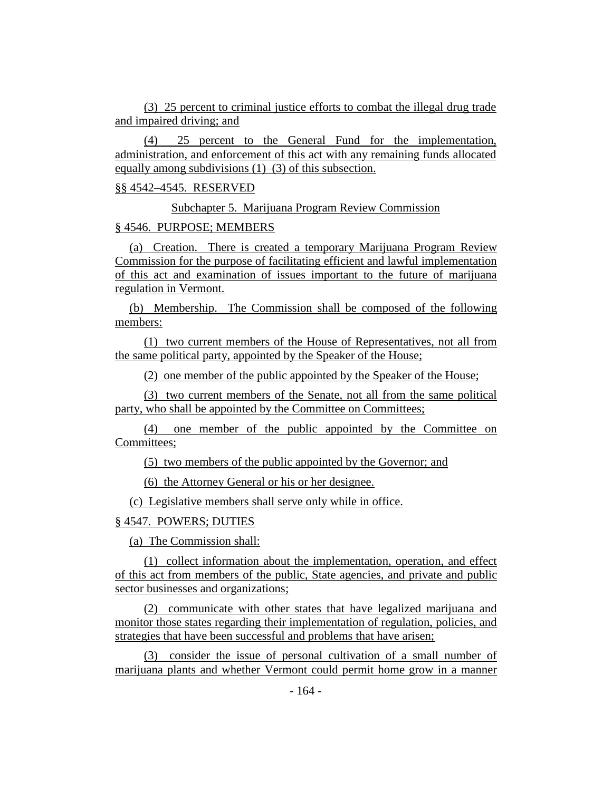(3) 25 percent to criminal justice efforts to combat the illegal drug trade and impaired driving; and

(4) 25 percent to the General Fund for the implementation, administration, and enforcement of this act with any remaining funds allocated equally among subdivisions (1)–(3) of this subsection.

## §§ 4542–4545. RESERVED

Subchapter 5. Marijuana Program Review Commission

## § 4546. PURPOSE; MEMBERS

(a) Creation. There is created a temporary Marijuana Program Review Commission for the purpose of facilitating efficient and lawful implementation of this act and examination of issues important to the future of marijuana regulation in Vermont.

(b) Membership. The Commission shall be composed of the following members:

(1) two current members of the House of Representatives, not all from the same political party, appointed by the Speaker of the House;

(2) one member of the public appointed by the Speaker of the House;

(3) two current members of the Senate, not all from the same political party, who shall be appointed by the Committee on Committees;

(4) one member of the public appointed by the Committee on Committees;

(5) two members of the public appointed by the Governor; and

(6) the Attorney General or his or her designee.

(c) Legislative members shall serve only while in office.

## § 4547. POWERS; DUTIES

(a) The Commission shall:

(1) collect information about the implementation, operation, and effect of this act from members of the public, State agencies, and private and public sector businesses and organizations;

(2) communicate with other states that have legalized marijuana and monitor those states regarding their implementation of regulation, policies, and strategies that have been successful and problems that have arisen;

(3) consider the issue of personal cultivation of a small number of marijuana plants and whether Vermont could permit home grow in a manner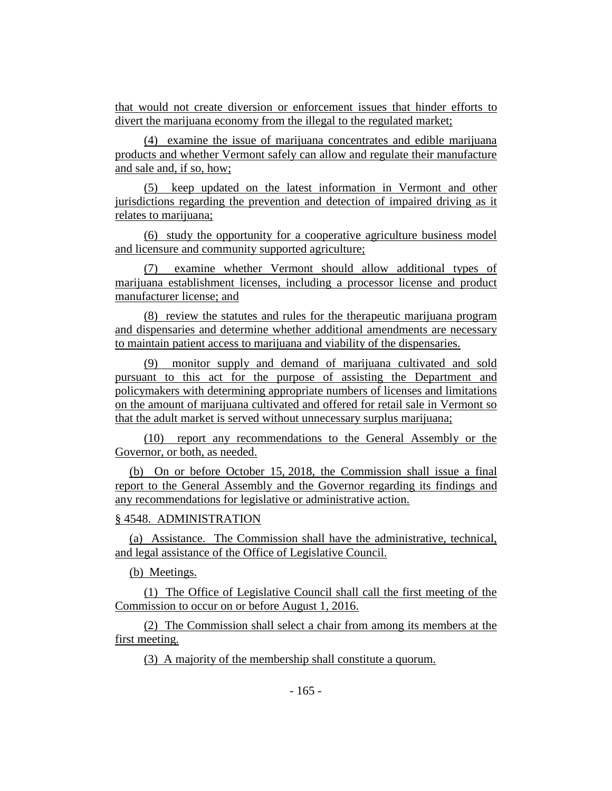that would not create diversion or enforcement issues that hinder efforts to divert the marijuana economy from the illegal to the regulated market;

(4) examine the issue of marijuana concentrates and edible marijuana products and whether Vermont safely can allow and regulate their manufacture and sale and, if so, how;

(5) keep updated on the latest information in Vermont and other jurisdictions regarding the prevention and detection of impaired driving as it relates to marijuana;

(6) study the opportunity for a cooperative agriculture business model and licensure and community supported agriculture;

(7) examine whether Vermont should allow additional types of marijuana establishment licenses, including a processor license and product manufacturer license; and

(8) review the statutes and rules for the therapeutic marijuana program and dispensaries and determine whether additional amendments are necessary to maintain patient access to marijuana and viability of the dispensaries.

(9) monitor supply and demand of marijuana cultivated and sold pursuant to this act for the purpose of assisting the Department and policymakers with determining appropriate numbers of licenses and limitations on the amount of marijuana cultivated and offered for retail sale in Vermont so that the adult market is served without unnecessary surplus marijuana;

(10) report any recommendations to the General Assembly or the Governor, or both, as needed.

(b) On or before October 15, 2018, the Commission shall issue a final report to the General Assembly and the Governor regarding its findings and any recommendations for legislative or administrative action.

# § 4548. ADMINISTRATION

(a) Assistance. The Commission shall have the administrative, technical, and legal assistance of the Office of Legislative Council.

(b) Meetings.

(1) The Office of Legislative Council shall call the first meeting of the Commission to occur on or before August 1, 2016.

(2) The Commission shall select a chair from among its members at the first meeting.

(3) A majority of the membership shall constitute a quorum.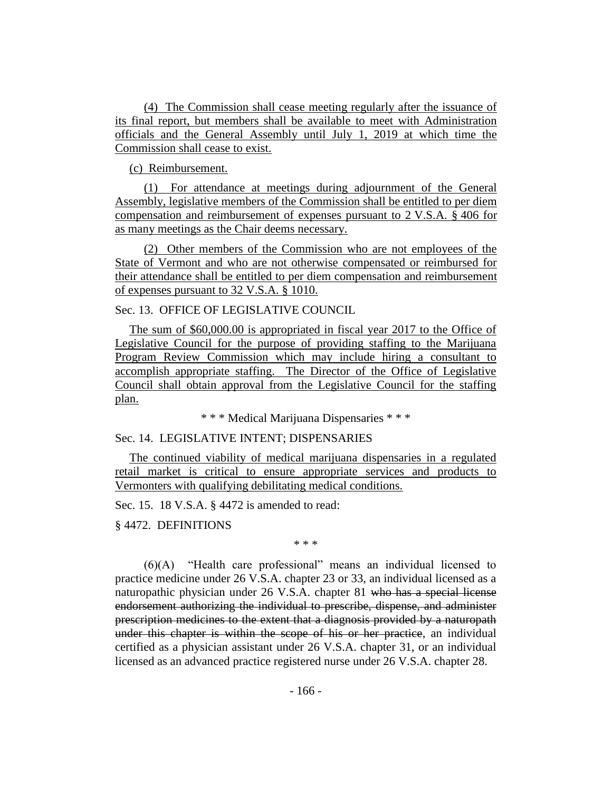(4) The Commission shall cease meeting regularly after the issuance of its final report, but members shall be available to meet with Administration officials and the General Assembly until July 1, 2019 at which time the Commission shall cease to exist.

(c) Reimbursement.

(1) For attendance at meetings during adjournment of the General Assembly, legislative members of the Commission shall be entitled to per diem compensation and reimbursement of expenses pursuant to 2 V.S.A. § 406 for as many meetings as the Chair deems necessary.

(2) Other members of the Commission who are not employees of the State of Vermont and who are not otherwise compensated or reimbursed for their attendance shall be entitled to per diem compensation and reimbursement of expenses pursuant to 32 V.S.A. § 1010.

Sec. 13. OFFICE OF LEGISLATIVE COUNCIL

The sum of \$60,000.00 is appropriated in fiscal year 2017 to the Office of Legislative Council for the purpose of providing staffing to the Marijuana Program Review Commission which may include hiring a consultant to accomplish appropriate staffing. The Director of the Office of Legislative Council shall obtain approval from the Legislative Council for the staffing plan.

\* \* \* Medical Marijuana Dispensaries \* \* \*

### Sec. 14. LEGISLATIVE INTENT; DISPENSARIES

The continued viability of medical marijuana dispensaries in a regulated retail market is critical to ensure appropriate services and products to Vermonters with qualifying debilitating medical conditions.

Sec. 15. 18 V.S.A. § 4472 is amended to read:

§ 4472. DEFINITIONS

\* \* \*

(6)(A) "Health care professional" means an individual licensed to practice medicine under 26 V.S.A. chapter 23 or 33, an individual licensed as a naturopathic physician under 26 V.S.A. chapter 81 who has a special license endorsement authorizing the individual to prescribe, dispense, and administer prescription medicines to the extent that a diagnosis provided by a naturopath under this chapter is within the scope of his or her practice, an individual certified as a physician assistant under 26 V.S.A. chapter 31, or an individual licensed as an advanced practice registered nurse under 26 V.S.A. chapter 28.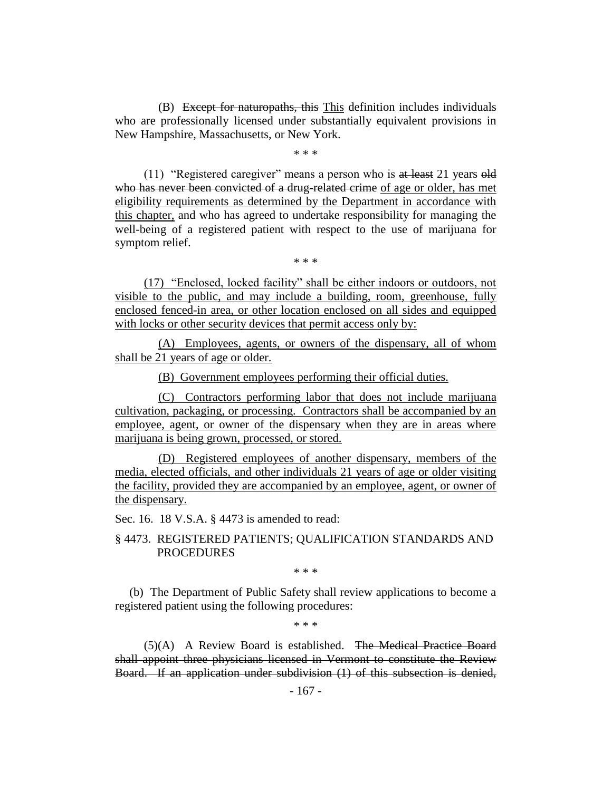(B) Except for naturopaths, this This definition includes individuals who are professionally licensed under substantially equivalent provisions in New Hampshire, Massachusetts, or New York.

\* \* \*

(11) "Registered caregiver" means a person who is at least 21 years old who has never been convicted of a drug-related crime of age or older, has met eligibility requirements as determined by the Department in accordance with this chapter, and who has agreed to undertake responsibility for managing the well-being of a registered patient with respect to the use of marijuana for symptom relief.

\* \* \*

(17) "Enclosed, locked facility" shall be either indoors or outdoors, not visible to the public, and may include a building, room, greenhouse, fully enclosed fenced-in area, or other location enclosed on all sides and equipped with locks or other security devices that permit access only by:

(A) Employees, agents, or owners of the dispensary, all of whom shall be 21 years of age or older.

(B) Government employees performing their official duties.

(C) Contractors performing labor that does not include marijuana cultivation, packaging, or processing. Contractors shall be accompanied by an employee, agent, or owner of the dispensary when they are in areas where marijuana is being grown, processed, or stored.

(D) Registered employees of another dispensary, members of the media, elected officials, and other individuals 21 years of age or older visiting the facility, provided they are accompanied by an employee, agent, or owner of the dispensary.

Sec. 16. 18 V.S.A. § 4473 is amended to read:

# § 4473. REGISTERED PATIENTS; QUALIFICATION STANDARDS AND PROCEDURES

\* \* \*

(b) The Department of Public Safety shall review applications to become a registered patient using the following procedures:

\* \* \*

(5)(A) A Review Board is established. The Medical Practice Board shall appoint three physicians licensed in Vermont to constitute the Review Board. If an application under subdivision (1) of this subsection is denied,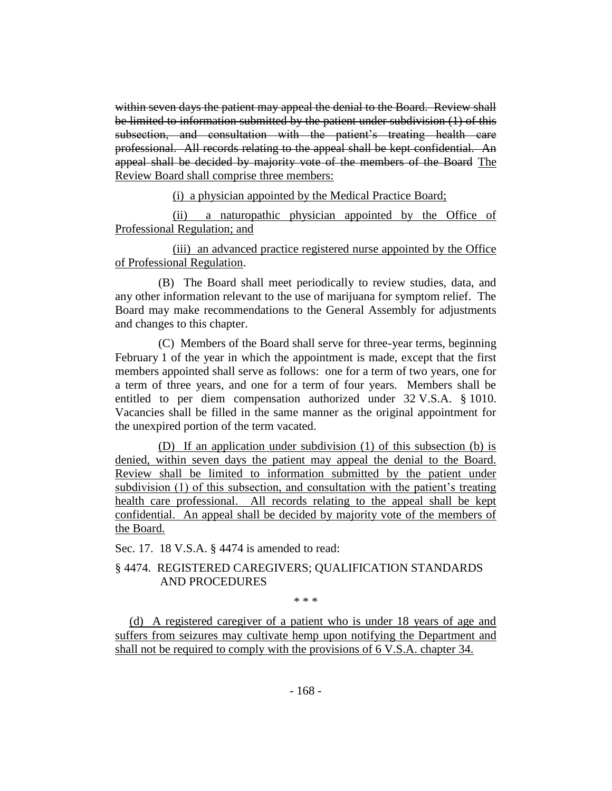within seven days the patient may appeal the denial to the Board. Review shall be limited to information submitted by the patient under subdivision (1) of this subsection, and consultation with the patient's treating health care professional. All records relating to the appeal shall be kept confidential. An appeal shall be decided by majority vote of the members of the Board The Review Board shall comprise three members:

(i) a physician appointed by the Medical Practice Board;

(ii) a naturopathic physician appointed by the Office of Professional Regulation; and

(iii) an advanced practice registered nurse appointed by the Office of Professional Regulation.

(B) The Board shall meet periodically to review studies, data, and any other information relevant to the use of marijuana for symptom relief. The Board may make recommendations to the General Assembly for adjustments and changes to this chapter.

(C) Members of the Board shall serve for three-year terms, beginning February 1 of the year in which the appointment is made, except that the first members appointed shall serve as follows: one for a term of two years, one for a term of three years, and one for a term of four years. Members shall be entitled to per diem compensation authorized under 32 V.S.A. § 1010. Vacancies shall be filled in the same manner as the original appointment for the unexpired portion of the term vacated.

(D) If an application under subdivision (1) of this subsection (b) is denied, within seven days the patient may appeal the denial to the Board. Review shall be limited to information submitted by the patient under subdivision (1) of this subsection, and consultation with the patient's treating health care professional. All records relating to the appeal shall be kept confidential. An appeal shall be decided by majority vote of the members of the Board.

Sec. 17. 18 V.S.A. § 4474 is amended to read:

# § 4474. REGISTERED CAREGIVERS; QUALIFICATION STANDARDS AND PROCEDURES

\* \* \*

(d) A registered caregiver of a patient who is under 18 years of age and suffers from seizures may cultivate hemp upon notifying the Department and shall not be required to comply with the provisions of 6 V.S.A. chapter 34.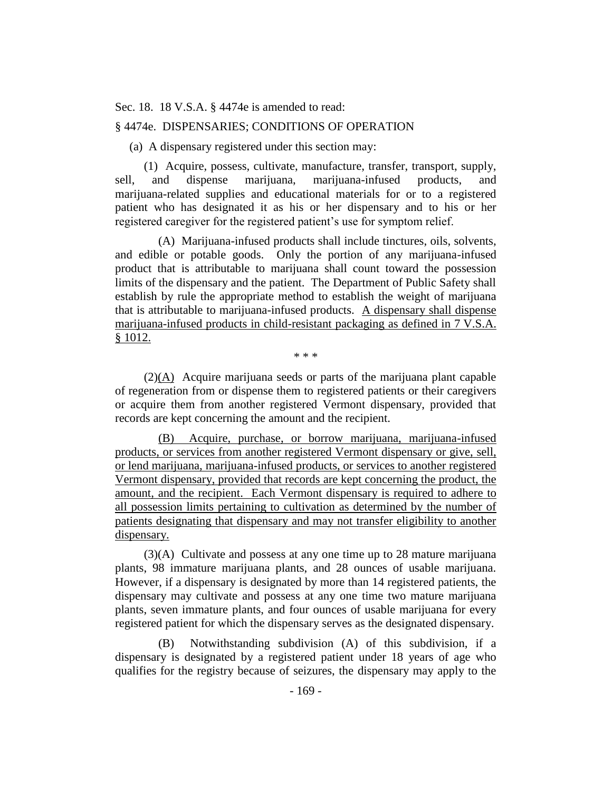Sec. 18. 18 V.S.A. § 4474e is amended to read:

# § 4474e. DISPENSARIES; CONDITIONS OF OPERATION

(a) A dispensary registered under this section may:

(1) Acquire, possess, cultivate, manufacture, transfer, transport, supply, sell, and dispense marijuana, marijuana-infused products, and marijuana-related supplies and educational materials for or to a registered patient who has designated it as his or her dispensary and to his or her registered caregiver for the registered patient's use for symptom relief.

(A) Marijuana-infused products shall include tinctures, oils, solvents, and edible or potable goods. Only the portion of any marijuana-infused product that is attributable to marijuana shall count toward the possession limits of the dispensary and the patient. The Department of Public Safety shall establish by rule the appropriate method to establish the weight of marijuana that is attributable to marijuana-infused products. A dispensary shall dispense marijuana-infused products in child-resistant packaging as defined in 7 V.S.A. § 1012.

\* \* \*

 $(2)(\underline{A})$  Acquire marijuana seeds or parts of the marijuana plant capable of regeneration from or dispense them to registered patients or their caregivers or acquire them from another registered Vermont dispensary, provided that records are kept concerning the amount and the recipient.

(B) Acquire, purchase, or borrow marijuana, marijuana-infused products, or services from another registered Vermont dispensary or give, sell, or lend marijuana, marijuana-infused products, or services to another registered Vermont dispensary, provided that records are kept concerning the product, the amount, and the recipient. Each Vermont dispensary is required to adhere to all possession limits pertaining to cultivation as determined by the number of patients designating that dispensary and may not transfer eligibility to another dispensary.

(3)(A) Cultivate and possess at any one time up to 28 mature marijuana plants, 98 immature marijuana plants, and 28 ounces of usable marijuana. However, if a dispensary is designated by more than 14 registered patients, the dispensary may cultivate and possess at any one time two mature marijuana plants, seven immature plants, and four ounces of usable marijuana for every registered patient for which the dispensary serves as the designated dispensary.

(B) Notwithstanding subdivision (A) of this subdivision, if a dispensary is designated by a registered patient under 18 years of age who qualifies for the registry because of seizures, the dispensary may apply to the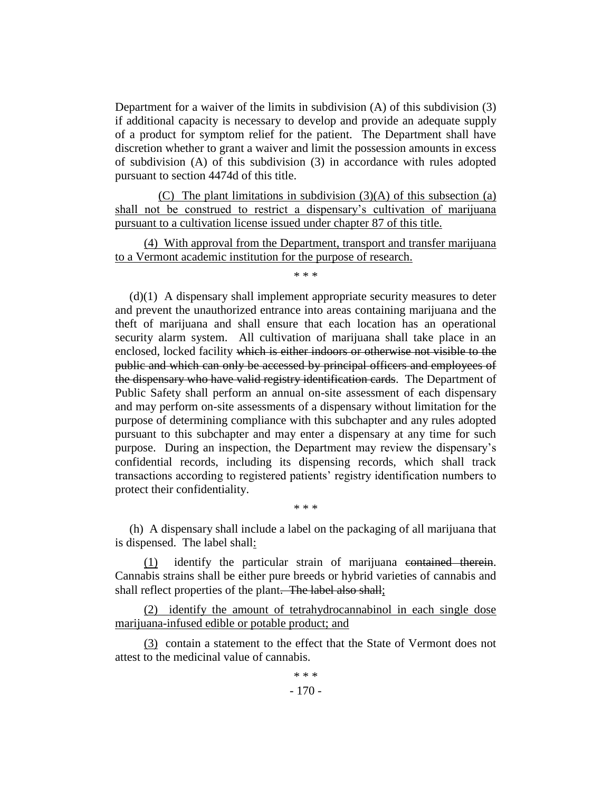Department for a waiver of the limits in subdivision (A) of this subdivision (3) if additional capacity is necessary to develop and provide an adequate supply of a product for symptom relief for the patient. The Department shall have discretion whether to grant a waiver and limit the possession amounts in excess of subdivision (A) of this subdivision (3) in accordance with rules adopted pursuant to section 4474d of this title.

(C) The plant limitations in subdivision (3)(A) of this subsection (a) shall not be construed to restrict a dispensary's cultivation of marijuana pursuant to a cultivation license issued under chapter 87 of this title.

(4) With approval from the Department, transport and transfer marijuana to a Vermont academic institution for the purpose of research.

\* \* \*

(d)(1) A dispensary shall implement appropriate security measures to deter and prevent the unauthorized entrance into areas containing marijuana and the theft of marijuana and shall ensure that each location has an operational security alarm system. All cultivation of marijuana shall take place in an enclosed, locked facility which is either indoors or otherwise not visible to the public and which can only be accessed by principal officers and employees of the dispensary who have valid registry identification cards. The Department of Public Safety shall perform an annual on-site assessment of each dispensary and may perform on-site assessments of a dispensary without limitation for the purpose of determining compliance with this subchapter and any rules adopted pursuant to this subchapter and may enter a dispensary at any time for such purpose. During an inspection, the Department may review the dispensary's confidential records, including its dispensing records, which shall track transactions according to registered patients' registry identification numbers to protect their confidentiality.

(h) A dispensary shall include a label on the packaging of all marijuana that is dispensed. The label shall:

\* \* \*

(1) identify the particular strain of marijuana contained therein. Cannabis strains shall be either pure breeds or hybrid varieties of cannabis and shall reflect properties of the plant. The label also shall;

(2) identify the amount of tetrahydrocannabinol in each single dose marijuana-infused edible or potable product; and

(3) contain a statement to the effect that the State of Vermont does not attest to the medicinal value of cannabis.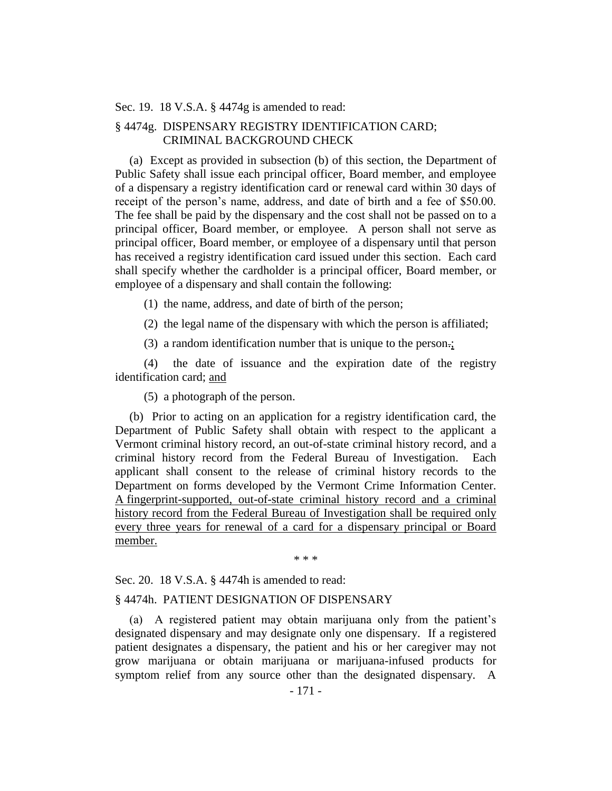#### Sec. 19. 18 V.S.A. § 4474g is amended to read:

# § 4474g. DISPENSARY REGISTRY IDENTIFICATION CARD; CRIMINAL BACKGROUND CHECK

(a) Except as provided in subsection (b) of this section, the Department of Public Safety shall issue each principal officer, Board member, and employee of a dispensary a registry identification card or renewal card within 30 days of receipt of the person's name, address, and date of birth and a fee of \$50.00. The fee shall be paid by the dispensary and the cost shall not be passed on to a principal officer, Board member, or employee. A person shall not serve as principal officer, Board member, or employee of a dispensary until that person has received a registry identification card issued under this section. Each card shall specify whether the cardholder is a principal officer, Board member, or employee of a dispensary and shall contain the following:

(1) the name, address, and date of birth of the person;

(2) the legal name of the dispensary with which the person is affiliated;

(3) a random identification number that is unique to the person.;

(4) the date of issuance and the expiration date of the registry identification card; and

(5) a photograph of the person.

(b) Prior to acting on an application for a registry identification card, the Department of Public Safety shall obtain with respect to the applicant a Vermont criminal history record, an out-of-state criminal history record, and a criminal history record from the Federal Bureau of Investigation. Each applicant shall consent to the release of criminal history records to the Department on forms developed by the Vermont Crime Information Center. A fingerprint-supported, out-of-state criminal history record and a criminal history record from the Federal Bureau of Investigation shall be required only every three years for renewal of a card for a dispensary principal or Board member.

\* \* \*

Sec. 20. 18 V.S.A. § 4474h is amended to read:

## § 4474h. PATIENT DESIGNATION OF DISPENSARY

(a) A registered patient may obtain marijuana only from the patient's designated dispensary and may designate only one dispensary. If a registered patient designates a dispensary, the patient and his or her caregiver may not grow marijuana or obtain marijuana or marijuana-infused products for symptom relief from any source other than the designated dispensary. A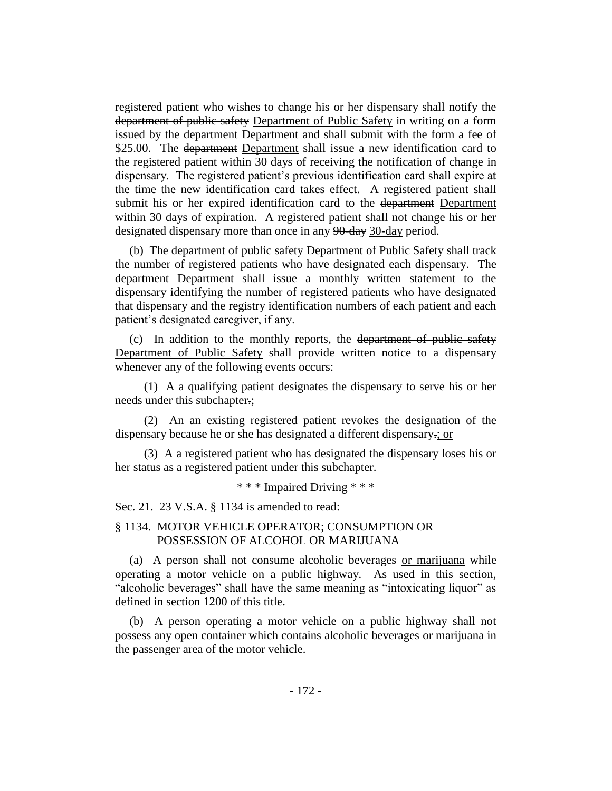registered patient who wishes to change his or her dispensary shall notify the department of public safety Department of Public Safety in writing on a form issued by the department Department and shall submit with the form a fee of \$25.00. The department Department shall issue a new identification card to the registered patient within 30 days of receiving the notification of change in dispensary. The registered patient's previous identification card shall expire at the time the new identification card takes effect. A registered patient shall submit his or her expired identification card to the department Department within 30 days of expiration. A registered patient shall not change his or her designated dispensary more than once in any 90-day 30-day period.

(b) The department of public safety Department of Public Safety shall track the number of registered patients who have designated each dispensary. The department Department shall issue a monthly written statement to the dispensary identifying the number of registered patients who have designated that dispensary and the registry identification numbers of each patient and each patient's designated caregiver, if any.

(c) In addition to the monthly reports, the department of public safety Department of Public Safety shall provide written notice to a dispensary whenever any of the following events occurs:

(1) A a qualifying patient designates the dispensary to serve his or her needs under this subchapter.;

(2) An an existing registered patient revokes the designation of the dispensary because he or she has designated a different dispensary.; or

(3) A a registered patient who has designated the dispensary loses his or her status as a registered patient under this subchapter.

\* \* \* Impaired Driving \* \* \*

Sec. 21. 23 V.S.A. § 1134 is amended to read:

# § 1134. MOTOR VEHICLE OPERATOR; CONSUMPTION OR POSSESSION OF ALCOHOL OR MARIJUANA

(a) A person shall not consume alcoholic beverages or marijuana while operating a motor vehicle on a public highway. As used in this section, "alcoholic beverages" shall have the same meaning as "intoxicating liquor" as defined in section 1200 of this title.

(b) A person operating a motor vehicle on a public highway shall not possess any open container which contains alcoholic beverages or marijuana in the passenger area of the motor vehicle.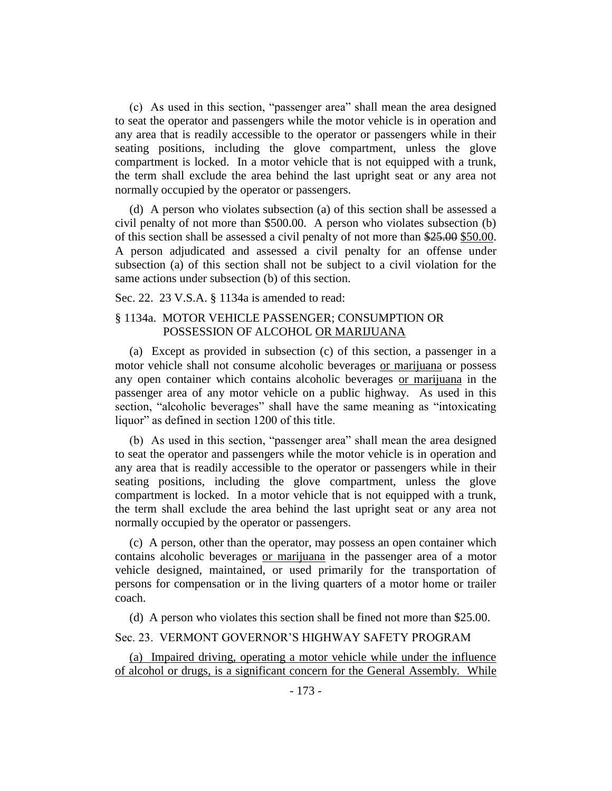(c) As used in this section, "passenger area" shall mean the area designed to seat the operator and passengers while the motor vehicle is in operation and any area that is readily accessible to the operator or passengers while in their seating positions, including the glove compartment, unless the glove compartment is locked. In a motor vehicle that is not equipped with a trunk, the term shall exclude the area behind the last upright seat or any area not normally occupied by the operator or passengers.

(d) A person who violates subsection (a) of this section shall be assessed a civil penalty of not more than \$500.00. A person who violates subsection (b) of this section shall be assessed a civil penalty of not more than \$25.00 \$50.00. A person adjudicated and assessed a civil penalty for an offense under subsection (a) of this section shall not be subject to a civil violation for the same actions under subsection (b) of this section.

Sec. 22. 23 V.S.A. § 1134a is amended to read:

# § 1134a. MOTOR VEHICLE PASSENGER; CONSUMPTION OR POSSESSION OF ALCOHOL OR MARIJUANA

(a) Except as provided in subsection (c) of this section, a passenger in a motor vehicle shall not consume alcoholic beverages or marijuana or possess any open container which contains alcoholic beverages or marijuana in the passenger area of any motor vehicle on a public highway. As used in this section, "alcoholic beverages" shall have the same meaning as "intoxicating liquor" as defined in section 1200 of this title.

(b) As used in this section, "passenger area" shall mean the area designed to seat the operator and passengers while the motor vehicle is in operation and any area that is readily accessible to the operator or passengers while in their seating positions, including the glove compartment, unless the glove compartment is locked. In a motor vehicle that is not equipped with a trunk, the term shall exclude the area behind the last upright seat or any area not normally occupied by the operator or passengers.

(c) A person, other than the operator, may possess an open container which contains alcoholic beverages or marijuana in the passenger area of a motor vehicle designed, maintained, or used primarily for the transportation of persons for compensation or in the living quarters of a motor home or trailer coach.

(d) A person who violates this section shall be fined not more than \$25.00.

# Sec. 23. VERMONT GOVERNOR'S HIGHWAY SAFETY PROGRAM

(a) Impaired driving, operating a motor vehicle while under the influence of alcohol or drugs, is a significant concern for the General Assembly. While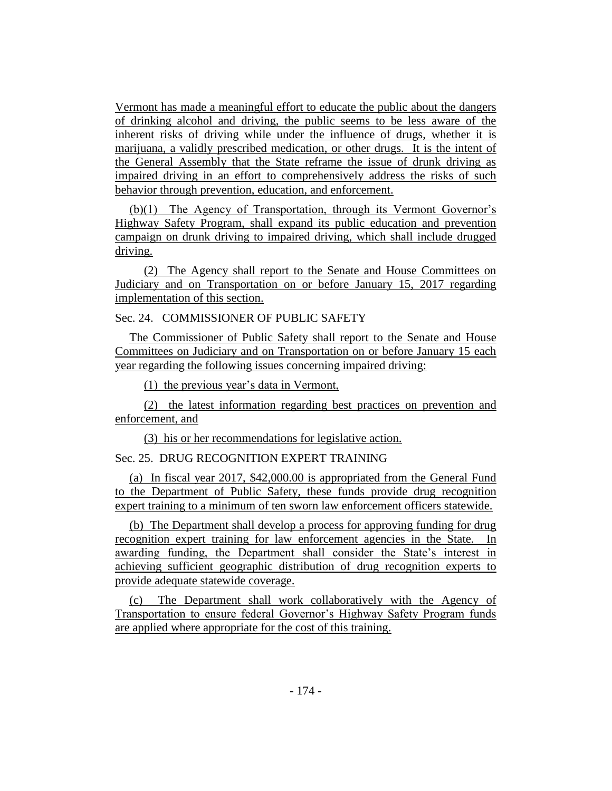Vermont has made a meaningful effort to educate the public about the dangers of drinking alcohol and driving, the public seems to be less aware of the inherent risks of driving while under the influence of drugs, whether it is marijuana, a validly prescribed medication, or other drugs. It is the intent of the General Assembly that the State reframe the issue of drunk driving as impaired driving in an effort to comprehensively address the risks of such behavior through prevention, education, and enforcement.

(b)(1) The Agency of Transportation, through its Vermont Governor's Highway Safety Program, shall expand its public education and prevention campaign on drunk driving to impaired driving, which shall include drugged driving.

(2) The Agency shall report to the Senate and House Committees on Judiciary and on Transportation on or before January 15, 2017 regarding implementation of this section.

# Sec. 24. COMMISSIONER OF PUBLIC SAFETY

The Commissioner of Public Safety shall report to the Senate and House Committees on Judiciary and on Transportation on or before January 15 each year regarding the following issues concerning impaired driving:

(1) the previous year's data in Vermont,

(2) the latest information regarding best practices on prevention and enforcement, and

(3) his or her recommendations for legislative action.

# Sec. 25. DRUG RECOGNITION EXPERT TRAINING

(a) In fiscal year 2017, \$42,000.00 is appropriated from the General Fund to the Department of Public Safety, these funds provide drug recognition expert training to a minimum of ten sworn law enforcement officers statewide.

(b) The Department shall develop a process for approving funding for drug recognition expert training for law enforcement agencies in the State. In awarding funding, the Department shall consider the State's interest in achieving sufficient geographic distribution of drug recognition experts to provide adequate statewide coverage.

(c) The Department shall work collaboratively with the Agency of Transportation to ensure federal Governor's Highway Safety Program funds are applied where appropriate for the cost of this training.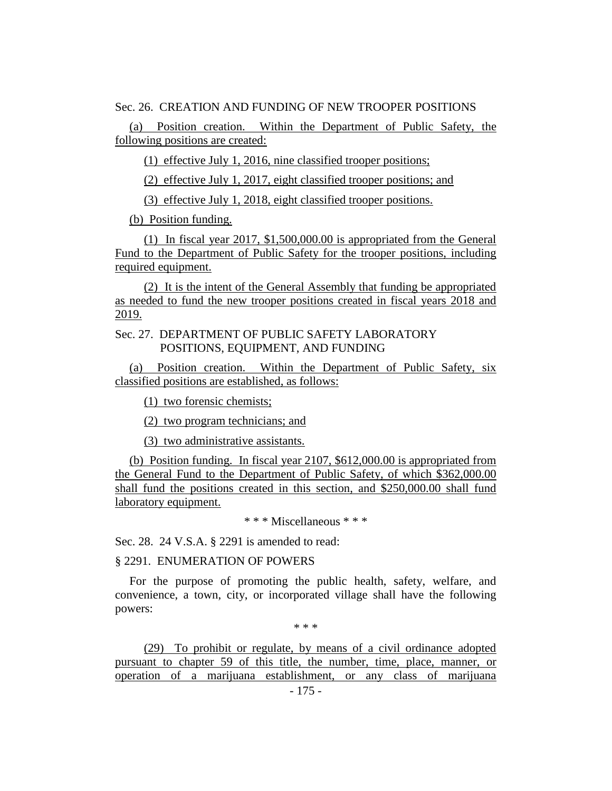Sec. 26. CREATION AND FUNDING OF NEW TROOPER POSITIONS

(a) Position creation. Within the Department of Public Safety, the following positions are created:

(1) effective July 1, 2016, nine classified trooper positions;

(2) effective July 1, 2017, eight classified trooper positions; and

(3) effective July 1, 2018, eight classified trooper positions.

(b) Position funding.

(1) In fiscal year 2017, \$1,500,000.00 is appropriated from the General Fund to the Department of Public Safety for the trooper positions, including required equipment.

(2) It is the intent of the General Assembly that funding be appropriated as needed to fund the new trooper positions created in fiscal years 2018 and 2019.

# Sec. 27. DEPARTMENT OF PUBLIC SAFETY LABORATORY POSITIONS, EQUIPMENT, AND FUNDING

(a) Position creation. Within the Department of Public Safety, six classified positions are established, as follows:

(1) two forensic chemists;

(2) two program technicians; and

(3) two administrative assistants.

(b) Position funding. In fiscal year 2107, \$612,000.00 is appropriated from the General Fund to the Department of Public Safety, of which \$362,000.00 shall fund the positions created in this section, and \$250,000.00 shall fund laboratory equipment.

\* \* \* Miscellaneous \* \* \*

Sec. 28. 24 V.S.A. § 2291 is amended to read:

# § 2291. ENUMERATION OF POWERS

For the purpose of promoting the public health, safety, welfare, and convenience, a town, city, or incorporated village shall have the following powers:

\* \* \*

(29) To prohibit or regulate, by means of a civil ordinance adopted pursuant to chapter 59 of this title, the number, time, place, manner, or operation of a marijuana establishment, or any class of marijuana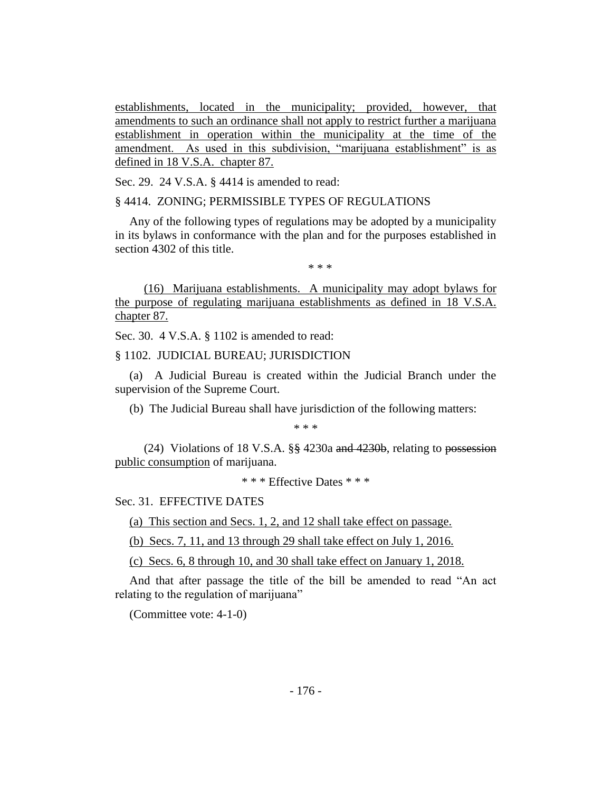establishments, located in the municipality; provided, however, that amendments to such an ordinance shall not apply to restrict further a marijuana establishment in operation within the municipality at the time of the amendment. As used in this subdivision, "marijuana establishment" is as defined in 18 V.S.A. chapter 87.

Sec. 29. 24 V.S.A. § 4414 is amended to read:

§ 4414. ZONING; PERMISSIBLE TYPES OF REGULATIONS

Any of the following types of regulations may be adopted by a municipality in its bylaws in conformance with the plan and for the purposes established in section 4302 of this title.

\* \* \*

(16) Marijuana establishments. A municipality may adopt bylaws for the purpose of regulating marijuana establishments as defined in 18 V.S.A. chapter 87.

Sec. 30. 4 V.S.A. § 1102 is amended to read:

§ 1102. JUDICIAL BUREAU; JURISDICTION

(a) A Judicial Bureau is created within the Judicial Branch under the supervision of the Supreme Court.

(b) The Judicial Bureau shall have jurisdiction of the following matters:

\* \* \*

(24) Violations of 18 V.S.A. §§ 4230a and 4230b, relating to possession public consumption of marijuana.

\* \* \* Effective Dates \* \* \*

## Sec. 31. EFFECTIVE DATES

(a) This section and Secs. 1, 2, and 12 shall take effect on passage.

(b) Secs. 7, 11, and 13 through 29 shall take effect on July 1, 2016.

(c) Secs. 6, 8 through 10, and 30 shall take effect on January 1, 2018.

And that after passage the title of the bill be amended to read "An act relating to the regulation of marijuana"

(Committee vote: 4-1-0)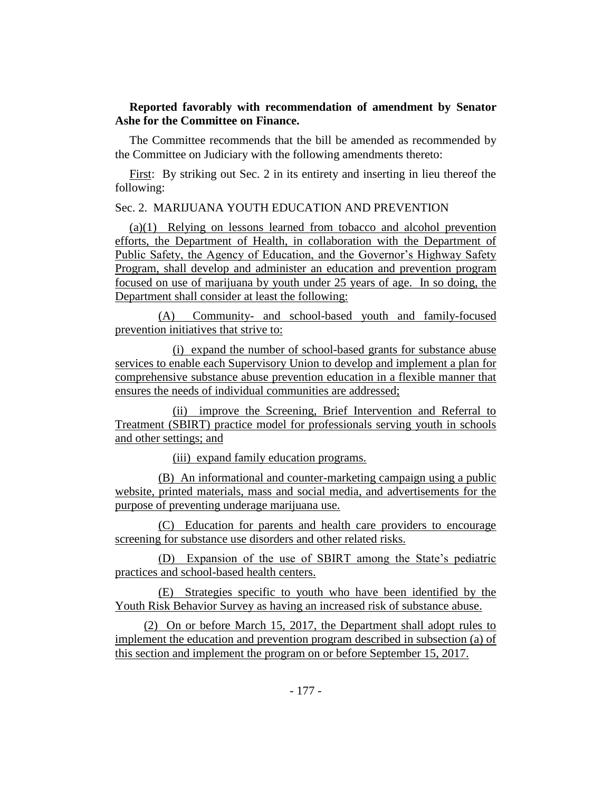# **Reported favorably with recommendation of amendment by Senator Ashe for the Committee on Finance.**

The Committee recommends that the bill be amended as recommended by the Committee on Judiciary with the following amendments thereto:

First: By striking out Sec. 2 in its entirety and inserting in lieu thereof the following:

# Sec. 2. MARIJUANA YOUTH EDUCATION AND PREVENTION

(a)(1) Relying on lessons learned from tobacco and alcohol prevention efforts, the Department of Health, in collaboration with the Department of Public Safety, the Agency of Education, and the Governor's Highway Safety Program, shall develop and administer an education and prevention program focused on use of marijuana by youth under 25 years of age. In so doing, the Department shall consider at least the following:

(A) Community- and school-based youth and family-focused prevention initiatives that strive to:

(i) expand the number of school-based grants for substance abuse services to enable each Supervisory Union to develop and implement a plan for comprehensive substance abuse prevention education in a flexible manner that ensures the needs of individual communities are addressed;

(ii) improve the Screening, Brief Intervention and Referral to Treatment (SBIRT) practice model for professionals serving youth in schools and other settings; and

(iii) expand family education programs.

(B) An informational and counter-marketing campaign using a public website, printed materials, mass and social media, and advertisements for the purpose of preventing underage marijuana use.

(C) Education for parents and health care providers to encourage screening for substance use disorders and other related risks.

(D) Expansion of the use of SBIRT among the State's pediatric practices and school-based health centers.

(E) Strategies specific to youth who have been identified by the Youth Risk Behavior Survey as having an increased risk of substance abuse.

(2) On or before March 15, 2017, the Department shall adopt rules to implement the education and prevention program described in subsection (a) of this section and implement the program on or before September 15, 2017.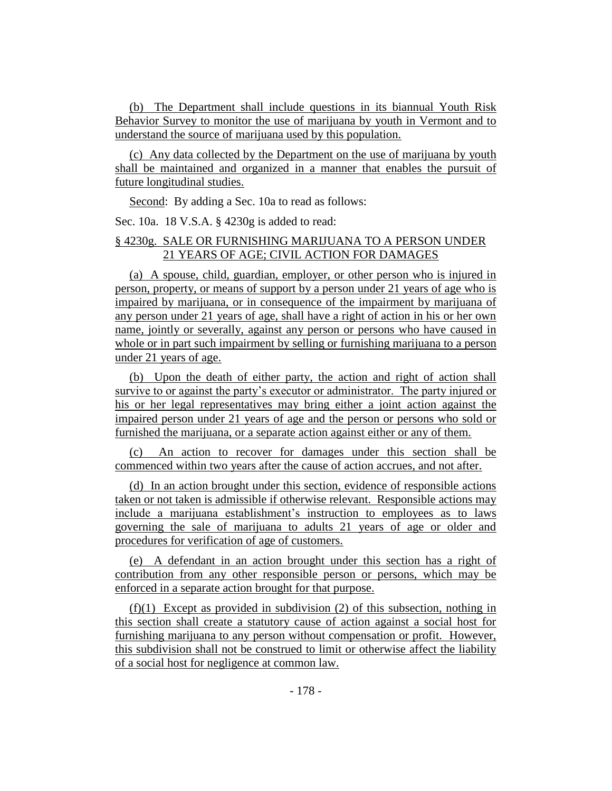(b) The Department shall include questions in its biannual Youth Risk Behavior Survey to monitor the use of marijuana by youth in Vermont and to understand the source of marijuana used by this population.

(c) Any data collected by the Department on the use of marijuana by youth shall be maintained and organized in a manner that enables the pursuit of future longitudinal studies.

Second: By adding a Sec. 10a to read as follows:

Sec. 10a. 18 V.S.A. § 4230g is added to read:

# § 4230g. SALE OR FURNISHING MARIJUANA TO A PERSON UNDER 21 YEARS OF AGE; CIVIL ACTION FOR DAMAGES

(a) A spouse, child, guardian, employer, or other person who is injured in person, property, or means of support by a person under 21 years of age who is impaired by marijuana, or in consequence of the impairment by marijuana of any person under 21 years of age, shall have a right of action in his or her own name, jointly or severally, against any person or persons who have caused in whole or in part such impairment by selling or furnishing marijuana to a person under 21 years of age.

(b) Upon the death of either party, the action and right of action shall survive to or against the party's executor or administrator. The party injured or his or her legal representatives may bring either a joint action against the impaired person under 21 years of age and the person or persons who sold or furnished the marijuana, or a separate action against either or any of them.

(c) An action to recover for damages under this section shall be commenced within two years after the cause of action accrues, and not after.

(d) In an action brought under this section, evidence of responsible actions taken or not taken is admissible if otherwise relevant. Responsible actions may include a marijuana establishment's instruction to employees as to laws governing the sale of marijuana to adults 21 years of age or older and procedures for verification of age of customers.

(e) A defendant in an action brought under this section has a right of contribution from any other responsible person or persons, which may be enforced in a separate action brought for that purpose.

(f)(1) Except as provided in subdivision (2) of this subsection, nothing in this section shall create a statutory cause of action against a social host for furnishing marijuana to any person without compensation or profit. However, this subdivision shall not be construed to limit or otherwise affect the liability of a social host for negligence at common law.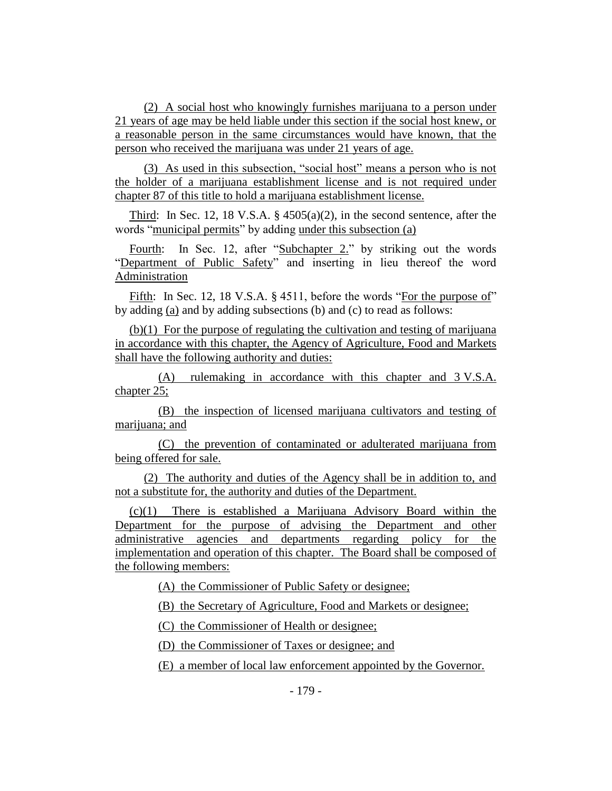(2) A social host who knowingly furnishes marijuana to a person under 21 years of age may be held liable under this section if the social host knew, or a reasonable person in the same circumstances would have known, that the person who received the marijuana was under 21 years of age.

(3) As used in this subsection, "social host" means a person who is not the holder of a marijuana establishment license and is not required under chapter 87 of this title to hold a marijuana establishment license.

Third: In Sec. 12, 18 V.S.A. § 4505(a)(2), in the second sentence, after the words "municipal permits" by adding under this subsection (a)

Fourth: In Sec. 12, after "Subchapter 2." by striking out the words "Department of Public Safety" and inserting in lieu thereof the word Administration

Fifth: In Sec. 12, 18 V.S.A. § 4511, before the words "For the purpose of" by adding (a) and by adding subsections (b) and (c) to read as follows:

(b)(1) For the purpose of regulating the cultivation and testing of marijuana in accordance with this chapter, the Agency of Agriculture, Food and Markets shall have the following authority and duties:

(A) rulemaking in accordance with this chapter and 3 V.S.A. chapter 25;

(B) the inspection of licensed marijuana cultivators and testing of marijuana; and

(C) the prevention of contaminated or adulterated marijuana from being offered for sale.

(2) The authority and duties of the Agency shall be in addition to, and not a substitute for, the authority and duties of the Department.

(c)(1) There is established a Marijuana Advisory Board within the Department for the purpose of advising the Department and other administrative agencies and departments regarding policy for the implementation and operation of this chapter. The Board shall be composed of the following members:

(A) the Commissioner of Public Safety or designee;

(B) the Secretary of Agriculture, Food and Markets or designee;

(C) the Commissioner of Health or designee;

(D) the Commissioner of Taxes or designee; and

(E) a member of local law enforcement appointed by the Governor.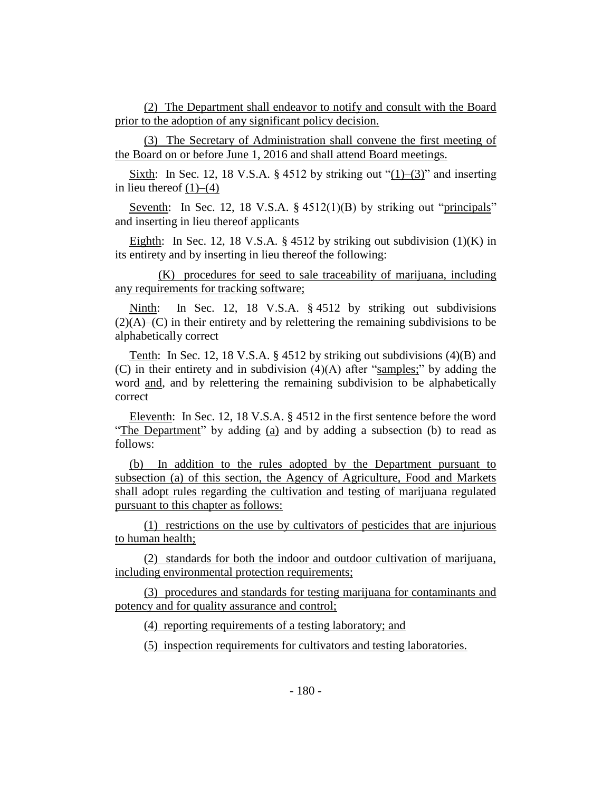(2) The Department shall endeavor to notify and consult with the Board prior to the adoption of any significant policy decision.

(3) The Secretary of Administration shall convene the first meeting of the Board on or before June 1, 2016 and shall attend Board meetings.

Sixth: In Sec. 12, 18 V.S.A. § 4512 by striking out " $(1)$ – $(3)$ " and inserting in lieu thereof  $(1)$ – $(4)$ 

Seventh: In Sec. 12, 18 V.S.A. § 4512(1)(B) by striking out "principals" and inserting in lieu thereof applicants

Eighth: In Sec. 12, 18 V.S.A. § 4512 by striking out subdivision  $(1)(K)$  in its entirety and by inserting in lieu thereof the following:

(K) procedures for seed to sale traceability of marijuana, including any requirements for tracking software;

Ninth: In Sec. 12, 18 V.S.A. § 4512 by striking out subdivisions  $(2)(A)$ – $(C)$  in their entirety and by relettering the remaining subdivisions to be alphabetically correct

Tenth: In Sec. 12, 18 V.S.A. § 4512 by striking out subdivisions (4)(B) and (C) in their entirety and in subdivision (4)(A) after "samples;" by adding the word and, and by relettering the remaining subdivision to be alphabetically correct

Eleventh: In Sec. 12, 18 V.S.A. § 4512 in the first sentence before the word "The Department" by adding (a) and by adding a subsection (b) to read as follows:

(b) In addition to the rules adopted by the Department pursuant to subsection (a) of this section, the Agency of Agriculture, Food and Markets shall adopt rules regarding the cultivation and testing of marijuana regulated pursuant to this chapter as follows:

(1) restrictions on the use by cultivators of pesticides that are injurious to human health;

(2) standards for both the indoor and outdoor cultivation of marijuana, including environmental protection requirements;

(3) procedures and standards for testing marijuana for contaminants and potency and for quality assurance and control;

(4) reporting requirements of a testing laboratory; and

(5) inspection requirements for cultivators and testing laboratories.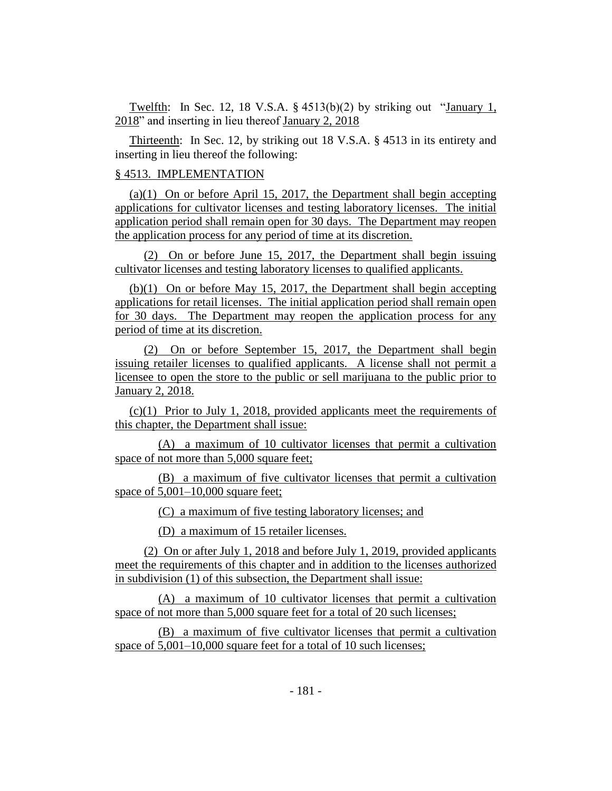Twelfth: In Sec. 12, 18 V.S.A. § 4513(b)(2) by striking out "January 1, 2018" and inserting in lieu thereof January 2, 2018

Thirteenth: In Sec. 12, by striking out 18 V.S.A. § 4513 in its entirety and inserting in lieu thereof the following:

## § 4513. IMPLEMENTATION

(a)(1) On or before April 15, 2017, the Department shall begin accepting applications for cultivator licenses and testing laboratory licenses. The initial application period shall remain open for 30 days. The Department may reopen the application process for any period of time at its discretion.

(2) On or before June 15, 2017, the Department shall begin issuing cultivator licenses and testing laboratory licenses to qualified applicants.

(b)(1) On or before May 15, 2017, the Department shall begin accepting applications for retail licenses. The initial application period shall remain open for 30 days. The Department may reopen the application process for any period of time at its discretion.

(2) On or before September 15, 2017, the Department shall begin issuing retailer licenses to qualified applicants. A license shall not permit a licensee to open the store to the public or sell marijuana to the public prior to January 2, 2018.

(c)(1) Prior to July 1, 2018, provided applicants meet the requirements of this chapter, the Department shall issue:

(A) a maximum of 10 cultivator licenses that permit a cultivation space of not more than 5,000 square feet;

(B) a maximum of five cultivator licenses that permit a cultivation space of 5,001–10,000 square feet;

(C) a maximum of five testing laboratory licenses; and

(D) a maximum of 15 retailer licenses.

(2) On or after July 1, 2018 and before July 1, 2019, provided applicants meet the requirements of this chapter and in addition to the licenses authorized in subdivision (1) of this subsection, the Department shall issue:

(A) a maximum of 10 cultivator licenses that permit a cultivation space of not more than 5,000 square feet for a total of 20 such licenses;

(B) a maximum of five cultivator licenses that permit a cultivation space of  $5,001-10,000$  square feet for a total of 10 such licenses;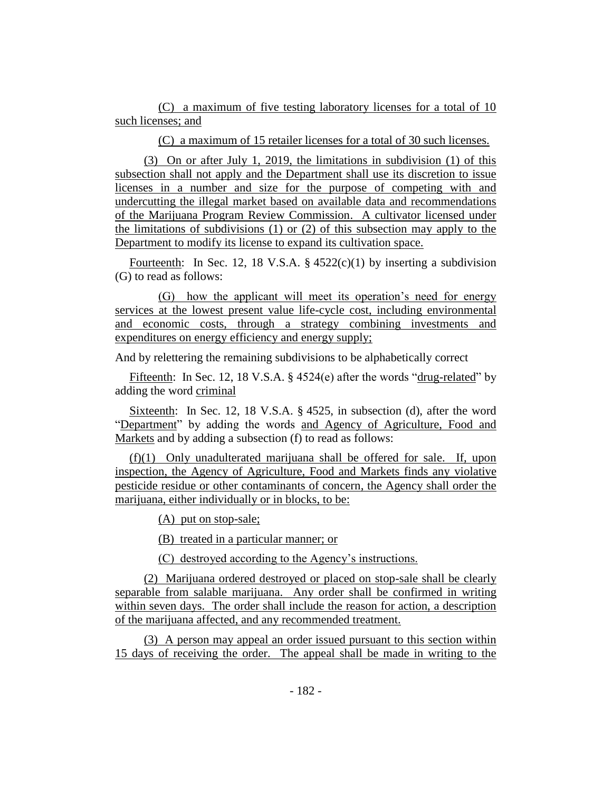(C) a maximum of five testing laboratory licenses for a total of 10 such licenses; and

(C) a maximum of 15 retailer licenses for a total of 30 such licenses.

(3) On or after July 1, 2019, the limitations in subdivision (1) of this subsection shall not apply and the Department shall use its discretion to issue licenses in a number and size for the purpose of competing with and undercutting the illegal market based on available data and recommendations of the Marijuana Program Review Commission. A cultivator licensed under the limitations of subdivisions (1) or (2) of this subsection may apply to the Department to modify its license to expand its cultivation space.

Fourteenth: In Sec. 12, 18 V.S.A.  $\S$  4522(c)(1) by inserting a subdivision (G) to read as follows:

(G) how the applicant will meet its operation's need for energy services at the lowest present value life-cycle cost, including environmental and economic costs, through a strategy combining investments and expenditures on energy efficiency and energy supply;

And by relettering the remaining subdivisions to be alphabetically correct

Fifteenth: In Sec. 12, 18 V.S.A. § 4524(e) after the words "drug-related" by adding the word criminal

Sixteenth: In Sec. 12, 18 V.S.A. § 4525, in subsection (d), after the word "Department" by adding the words and Agency of Agriculture, Food and Markets and by adding a subsection (f) to read as follows:

(f)(1) Only unadulterated marijuana shall be offered for sale. If, upon inspection, the Agency of Agriculture, Food and Markets finds any violative pesticide residue or other contaminants of concern, the Agency shall order the marijuana, either individually or in blocks, to be:

(A) put on stop-sale;

(B) treated in a particular manner; or

(C) destroyed according to the Agency's instructions.

(2) Marijuana ordered destroyed or placed on stop-sale shall be clearly separable from salable marijuana. Any order shall be confirmed in writing within seven days. The order shall include the reason for action, a description of the marijuana affected, and any recommended treatment.

(3) A person may appeal an order issued pursuant to this section within 15 days of receiving the order. The appeal shall be made in writing to the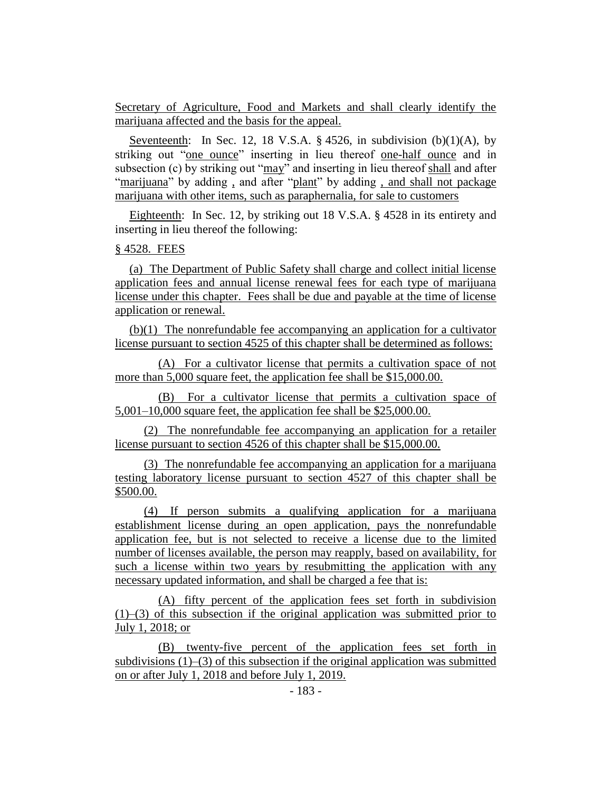Secretary of Agriculture, Food and Markets and shall clearly identify the marijuana affected and the basis for the appeal.

Seventeenth: In Sec. 12, 18 V.S.A.  $\S$  4526, in subdivision (b)(1)(A), by striking out "one ounce" inserting in lieu thereof one-half ounce and in subsection (c) by striking out "may" and inserting in lieu thereof shall and after "marijuana" by adding , and after "plant" by adding , and shall not package marijuana with other items, such as paraphernalia, for sale to customers

Eighteenth: In Sec. 12, by striking out 18 V.S.A. § 4528 in its entirety and inserting in lieu thereof the following:

# § 4528. FEES

(a) The Department of Public Safety shall charge and collect initial license application fees and annual license renewal fees for each type of marijuana license under this chapter. Fees shall be due and payable at the time of license application or renewal.

(b)(1) The nonrefundable fee accompanying an application for a cultivator license pursuant to section 4525 of this chapter shall be determined as follows:

(A) For a cultivator license that permits a cultivation space of not more than 5,000 square feet, the application fee shall be \$15,000.00.

(B) For a cultivator license that permits a cultivation space of 5,001–10,000 square feet, the application fee shall be \$25,000.00.

(2) The nonrefundable fee accompanying an application for a retailer license pursuant to section 4526 of this chapter shall be \$15,000.00.

(3) The nonrefundable fee accompanying an application for a marijuana testing laboratory license pursuant to section 4527 of this chapter shall be \$500.00.

(4) If person submits a qualifying application for a marijuana establishment license during an open application, pays the nonrefundable application fee, but is not selected to receive a license due to the limited number of licenses available, the person may reapply, based on availability, for such a license within two years by resubmitting the application with any necessary updated information, and shall be charged a fee that is:

(A) fifty percent of the application fees set forth in subdivision (1)–(3) of this subsection if the original application was submitted prior to July 1, 2018; or

(B) twenty-five percent of the application fees set forth in subdivisions (1)–(3) of this subsection if the original application was submitted on or after July 1, 2018 and before July 1, 2019.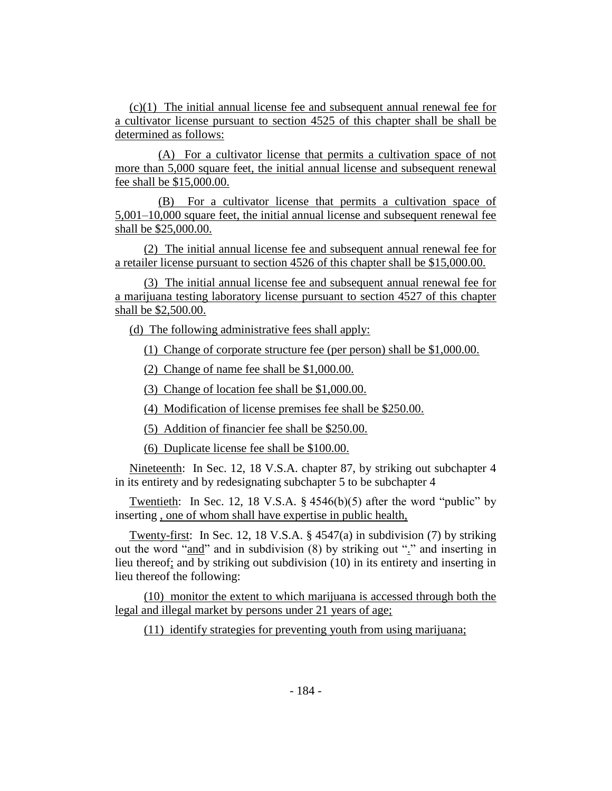(c)(1) The initial annual license fee and subsequent annual renewal fee for a cultivator license pursuant to section 4525 of this chapter shall be shall be determined as follows:

(A) For a cultivator license that permits a cultivation space of not more than 5,000 square feet, the initial annual license and subsequent renewal fee shall be \$15,000.00.

(B) For a cultivator license that permits a cultivation space of 5,001–10,000 square feet, the initial annual license and subsequent renewal fee shall be \$25,000.00.

(2) The initial annual license fee and subsequent annual renewal fee for a retailer license pursuant to section 4526 of this chapter shall be \$15,000.00.

(3) The initial annual license fee and subsequent annual renewal fee for a marijuana testing laboratory license pursuant to section 4527 of this chapter shall be \$2,500.00.

(d) The following administrative fees shall apply:

(1) Change of corporate structure fee (per person) shall be \$1,000.00.

(2) Change of name fee shall be \$1,000.00.

(3) Change of location fee shall be \$1,000.00.

(4) Modification of license premises fee shall be \$250.00.

(5) Addition of financier fee shall be \$250.00.

(6) Duplicate license fee shall be \$100.00.

Nineteenth: In Sec. 12, 18 V.S.A. chapter 87, by striking out subchapter 4 in its entirety and by redesignating subchapter 5 to be subchapter 4

Twentieth: In Sec. 12, 18 V.S.A.  $\S$  4546(b)(5) after the word "public" by inserting , one of whom shall have expertise in public health,

Twenty-first: In Sec. 12, 18 V.S.A. § 4547(a) in subdivision (7) by striking out the word "and" and in subdivision (8) by striking out "." and inserting in lieu thereof; and by striking out subdivision (10) in its entirety and inserting in lieu thereof the following:

(10) monitor the extent to which marijuana is accessed through both the legal and illegal market by persons under 21 years of age;

(11) identify strategies for preventing youth from using marijuana;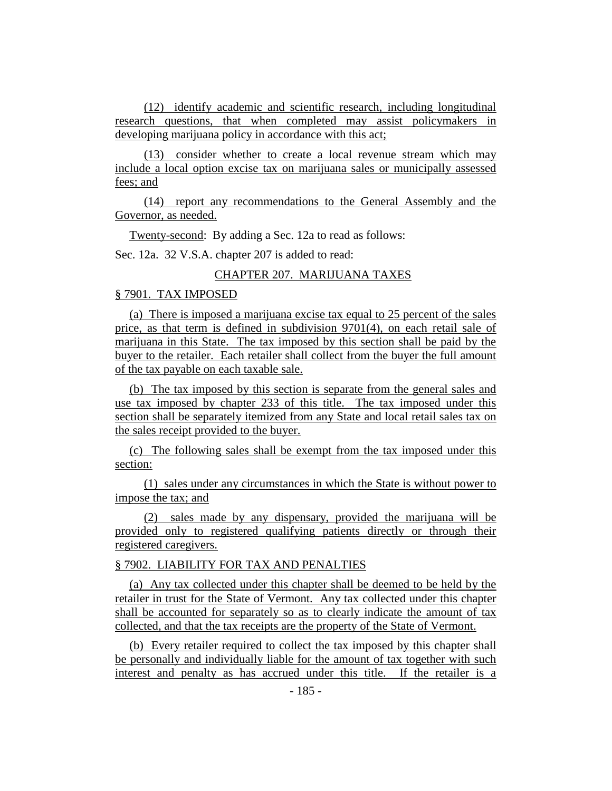(12) identify academic and scientific research, including longitudinal research questions, that when completed may assist policymakers in developing marijuana policy in accordance with this act:

(13) consider whether to create a local revenue stream which may include a local option excise tax on marijuana sales or municipally assessed fees; and

(14) report any recommendations to the General Assembly and the Governor, as needed.

Twenty-second: By adding a Sec. 12a to read as follows:

Sec. 12a. 32 V.S.A. chapter 207 is added to read:

# CHAPTER 207. MARIJUANA TAXES

# § 7901. TAX IMPOSED

(a) There is imposed a marijuana excise tax equal to 25 percent of the sales price, as that term is defined in subdivision 9701(4), on each retail sale of marijuana in this State. The tax imposed by this section shall be paid by the buyer to the retailer. Each retailer shall collect from the buyer the full amount of the tax payable on each taxable sale.

(b) The tax imposed by this section is separate from the general sales and use tax imposed by chapter 233 of this title. The tax imposed under this section shall be separately itemized from any State and local retail sales tax on the sales receipt provided to the buyer.

(c) The following sales shall be exempt from the tax imposed under this section:

(1) sales under any circumstances in which the State is without power to impose the tax; and

(2) sales made by any dispensary, provided the marijuana will be provided only to registered qualifying patients directly or through their registered caregivers.

# § 7902. LIABILITY FOR TAX AND PENALTIES

(a) Any tax collected under this chapter shall be deemed to be held by the retailer in trust for the State of Vermont. Any tax collected under this chapter shall be accounted for separately so as to clearly indicate the amount of tax collected, and that the tax receipts are the property of the State of Vermont.

(b) Every retailer required to collect the tax imposed by this chapter shall be personally and individually liable for the amount of tax together with such interest and penalty as has accrued under this title. If the retailer is a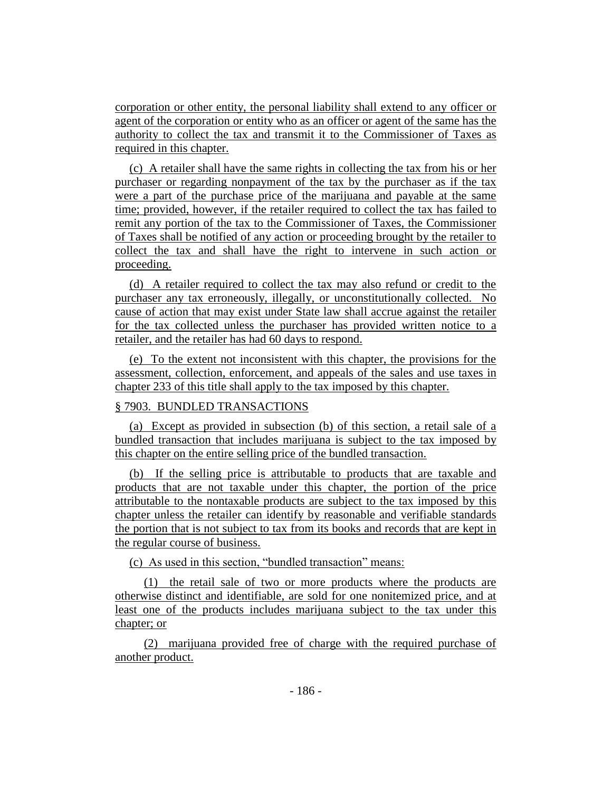corporation or other entity, the personal liability shall extend to any officer or agent of the corporation or entity who as an officer or agent of the same has the authority to collect the tax and transmit it to the Commissioner of Taxes as required in this chapter.

(c) A retailer shall have the same rights in collecting the tax from his or her purchaser or regarding nonpayment of the tax by the purchaser as if the tax were a part of the purchase price of the marijuana and payable at the same time; provided, however, if the retailer required to collect the tax has failed to remit any portion of the tax to the Commissioner of Taxes, the Commissioner of Taxes shall be notified of any action or proceeding brought by the retailer to collect the tax and shall have the right to intervene in such action or proceeding.

(d) A retailer required to collect the tax may also refund or credit to the purchaser any tax erroneously, illegally, or unconstitutionally collected. No cause of action that may exist under State law shall accrue against the retailer for the tax collected unless the purchaser has provided written notice to a retailer, and the retailer has had 60 days to respond.

(e) To the extent not inconsistent with this chapter, the provisions for the assessment, collection, enforcement, and appeals of the sales and use taxes in chapter 233 of this title shall apply to the tax imposed by this chapter.

## § 7903. BUNDLED TRANSACTIONS

(a) Except as provided in subsection (b) of this section, a retail sale of a bundled transaction that includes marijuana is subject to the tax imposed by this chapter on the entire selling price of the bundled transaction.

(b) If the selling price is attributable to products that are taxable and products that are not taxable under this chapter, the portion of the price attributable to the nontaxable products are subject to the tax imposed by this chapter unless the retailer can identify by reasonable and verifiable standards the portion that is not subject to tax from its books and records that are kept in the regular course of business.

(c) As used in this section, "bundled transaction" means:

(1) the retail sale of two or more products where the products are otherwise distinct and identifiable, are sold for one nonitemized price, and at least one of the products includes marijuana subject to the tax under this chapter; or

(2) marijuana provided free of charge with the required purchase of another product.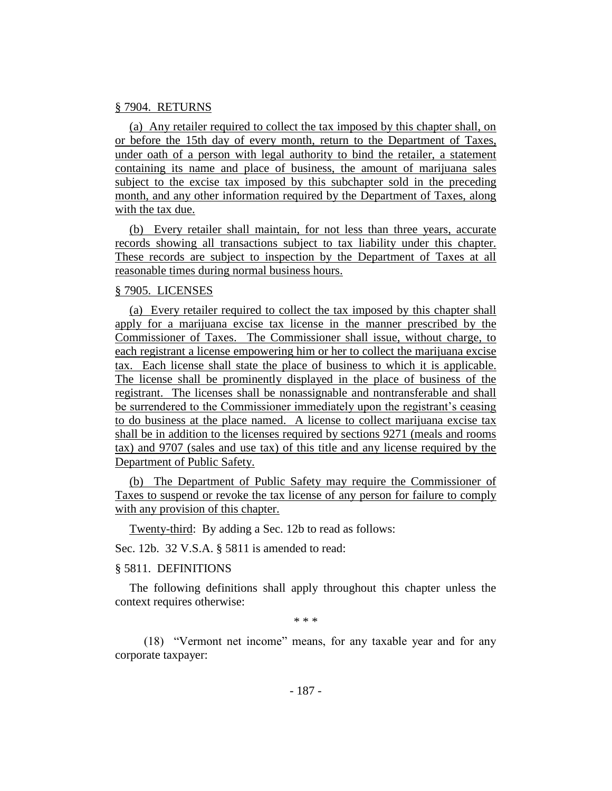#### § 7904. RETURNS

(a) Any retailer required to collect the tax imposed by this chapter shall, on or before the 15th day of every month, return to the Department of Taxes, under oath of a person with legal authority to bind the retailer, a statement containing its name and place of business, the amount of marijuana sales subject to the excise tax imposed by this subchapter sold in the preceding month, and any other information required by the Department of Taxes, along with the tax due.

(b) Every retailer shall maintain, for not less than three years, accurate records showing all transactions subject to tax liability under this chapter. These records are subject to inspection by the Department of Taxes at all reasonable times during normal business hours.

## § 7905. LICENSES

(a) Every retailer required to collect the tax imposed by this chapter shall apply for a marijuana excise tax license in the manner prescribed by the Commissioner of Taxes. The Commissioner shall issue, without charge, to each registrant a license empowering him or her to collect the marijuana excise tax. Each license shall state the place of business to which it is applicable. The license shall be prominently displayed in the place of business of the registrant. The licenses shall be nonassignable and nontransferable and shall be surrendered to the Commissioner immediately upon the registrant's ceasing to do business at the place named. A license to collect marijuana excise tax shall be in addition to the licenses required by sections 9271 (meals and rooms tax) and 9707 (sales and use tax) of this title and any license required by the Department of Public Safety.

(b) The Department of Public Safety may require the Commissioner of Taxes to suspend or revoke the tax license of any person for failure to comply with any provision of this chapter.

Twenty-third: By adding a Sec. 12b to read as follows:

Sec. 12b. 32 V.S.A. § 5811 is amended to read:

§ 5811. DEFINITIONS

The following definitions shall apply throughout this chapter unless the context requires otherwise:

\* \* \*

(18) "Vermont net income" means, for any taxable year and for any corporate taxpayer: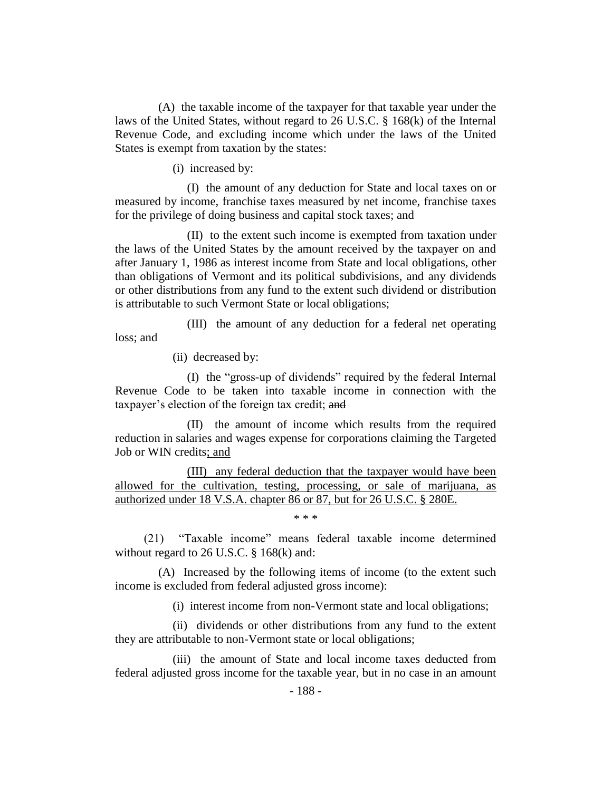(A) the taxable income of the taxpayer for that taxable year under the laws of the United States, without regard to 26 U.S.C. § 168(k) of the Internal Revenue Code, and excluding income which under the laws of the United States is exempt from taxation by the states:

(i) increased by:

(I) the amount of any deduction for State and local taxes on or measured by income, franchise taxes measured by net income, franchise taxes for the privilege of doing business and capital stock taxes; and

(II) to the extent such income is exempted from taxation under the laws of the United States by the amount received by the taxpayer on and after January 1, 1986 as interest income from State and local obligations, other than obligations of Vermont and its political subdivisions, and any dividends or other distributions from any fund to the extent such dividend or distribution is attributable to such Vermont State or local obligations;

(III) the amount of any deduction for a federal net operating loss; and

(ii) decreased by:

(I) the "gross-up of dividends" required by the federal Internal Revenue Code to be taken into taxable income in connection with the taxpayer's election of the foreign tax credit; and

(II) the amount of income which results from the required reduction in salaries and wages expense for corporations claiming the Targeted Job or WIN credits; and

(III) any federal deduction that the taxpayer would have been allowed for the cultivation, testing, processing, or sale of marijuana, as authorized under 18 V.S.A. chapter 86 or 87, but for 26 U.S.C. § 280E.

\* \* \*

(21) "Taxable income" means federal taxable income determined without regard to 26 U.S.C. § 168(k) and:

(A) Increased by the following items of income (to the extent such income is excluded from federal adjusted gross income):

(i) interest income from non-Vermont state and local obligations;

(ii) dividends or other distributions from any fund to the extent they are attributable to non-Vermont state or local obligations;

(iii) the amount of State and local income taxes deducted from federal adjusted gross income for the taxable year, but in no case in an amount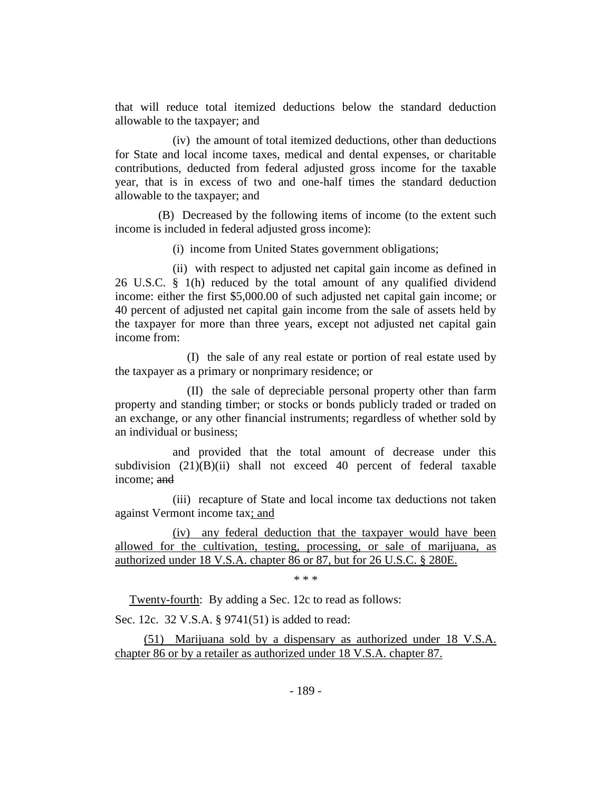that will reduce total itemized deductions below the standard deduction allowable to the taxpayer; and

(iv) the amount of total itemized deductions, other than deductions for State and local income taxes, medical and dental expenses, or charitable contributions, deducted from federal adjusted gross income for the taxable year, that is in excess of two and one-half times the standard deduction allowable to the taxpayer; and

(B) Decreased by the following items of income (to the extent such income is included in federal adjusted gross income):

(i) income from United States government obligations;

(ii) with respect to adjusted net capital gain income as defined in 26 U.S.C. § 1(h) reduced by the total amount of any qualified dividend income: either the first \$5,000.00 of such adjusted net capital gain income; or 40 percent of adjusted net capital gain income from the sale of assets held by the taxpayer for more than three years, except not adjusted net capital gain income from:

(I) the sale of any real estate or portion of real estate used by the taxpayer as a primary or nonprimary residence; or

(II) the sale of depreciable personal property other than farm property and standing timber; or stocks or bonds publicly traded or traded on an exchange, or any other financial instruments; regardless of whether sold by an individual or business;

and provided that the total amount of decrease under this subdivision (21)(B)(ii) shall not exceed 40 percent of federal taxable income; and

(iii) recapture of State and local income tax deductions not taken against Vermont income tax; and

(iv) any federal deduction that the taxpayer would have been allowed for the cultivation, testing, processing, or sale of marijuana, as authorized under 18 V.S.A. chapter 86 or 87, but for 26 U.S.C. § 280E.

\* \* \*

Twenty-fourth: By adding a Sec. 12c to read as follows:

Sec. 12c. 32 V.S.A. § 9741(51) is added to read:

(51) Marijuana sold by a dispensary as authorized under 18 V.S.A. chapter 86 or by a retailer as authorized under 18 V.S.A. chapter 87.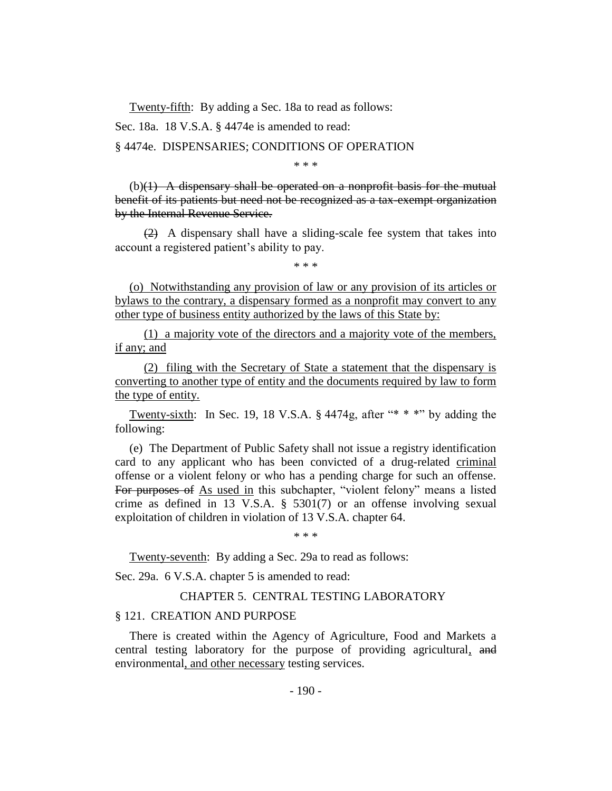Twenty-fifth: By adding a Sec. 18a to read as follows:

Sec. 18a. 18 V.S.A. § 4474e is amended to read:

§ 4474e. DISPENSARIES; CONDITIONS OF OPERATION

\* \* \*

 $(b)(1)$  A dispensary shall be operated on a nonprofit basis for the mutual benefit of its patients but need not be recognized as a tax-exempt organization by the Internal Revenue Service.

(2) A dispensary shall have a sliding-scale fee system that takes into account a registered patient's ability to pay.

\* \* \*

(o) Notwithstanding any provision of law or any provision of its articles or bylaws to the contrary, a dispensary formed as a nonprofit may convert to any other type of business entity authorized by the laws of this State by:

(1) a majority vote of the directors and a majority vote of the members, if any; and

(2) filing with the Secretary of State a statement that the dispensary is converting to another type of entity and the documents required by law to form the type of entity.

Twenty-sixth: In Sec. 19, 18 V.S.A.  $\S$  4474g, after "\* \* \*" by adding the following:

(e) The Department of Public Safety shall not issue a registry identification card to any applicant who has been convicted of a drug-related criminal offense or a violent felony or who has a pending charge for such an offense. For purposes of As used in this subchapter, "violent felony" means a listed crime as defined in 13 V.S.A. § 5301(7) or an offense involving sexual exploitation of children in violation of 13 V.S.A. chapter 64.

\* \* \*

Twenty-seventh: By adding a Sec. 29a to read as follows:

Sec. 29a. 6 V.S.A. chapter 5 is amended to read:

# CHAPTER 5. CENTRAL TESTING LABORATORY

## § 121. CREATION AND PURPOSE

There is created within the Agency of Agriculture, Food and Markets a central testing laboratory for the purpose of providing agricultural, and environmental, and other necessary testing services.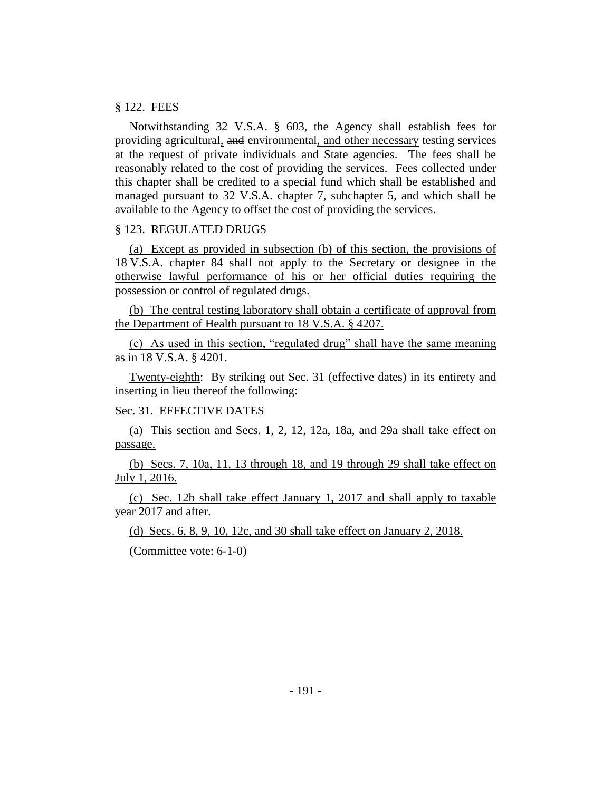## § 122. FEES

Notwithstanding 32 V.S.A. § 603, the Agency shall establish fees for providing agricultural, and environmental, and other necessary testing services at the request of private individuals and State agencies. The fees shall be reasonably related to the cost of providing the services. Fees collected under this chapter shall be credited to a special fund which shall be established and managed pursuant to 32 V.S.A. chapter 7, subchapter 5, and which shall be available to the Agency to offset the cost of providing the services.

#### § 123. REGULATED DRUGS

(a) Except as provided in subsection (b) of this section, the provisions of 18 V.S.A. chapter 84 shall not apply to the Secretary or designee in the otherwise lawful performance of his or her official duties requiring the possession or control of regulated drugs.

(b) The central testing laboratory shall obtain a certificate of approval from the Department of Health pursuant to 18 V.S.A. § 4207.

(c) As used in this section, "regulated drug" shall have the same meaning as in 18 V.S.A. § 4201.

Twenty-eighth: By striking out Sec. 31 (effective dates) in its entirety and inserting in lieu thereof the following:

## Sec. 31. EFFECTIVE DATES

(a) This section and Secs. 1, 2, 12, 12a, 18a, and 29a shall take effect on passage.

(b) Secs. 7, 10a, 11, 13 through 18, and 19 through 29 shall take effect on July 1, 2016.

(c) Sec. 12b shall take effect January 1, 2017 and shall apply to taxable year 2017 and after.

(d) Secs. 6, 8, 9, 10, 12c, and 30 shall take effect on January 2, 2018.

(Committee vote: 6-1-0)